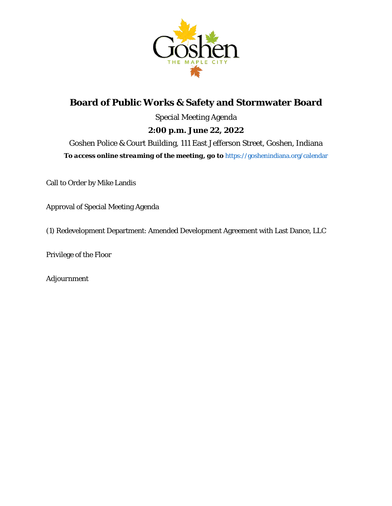

# **Board of Public Works & Safety and Stormwater Board** Special Meeting Agenda **2:00 p.m. June 22, 2022** Goshen Police & Court Building, 111 East Jefferson Street, Goshen, Indiana *To access online streaming of the meeting, go to* https://goshenindiana.org/calendar

Call to Order by Mike Landis

Approval of Special Meeting Agenda

(1) Redevelopment Department: Amended Development Agreement with Last Dance, LLC

Privilege of the Floor

*Adjournment*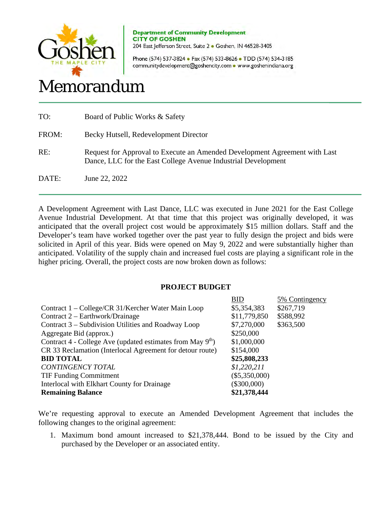

**Department of Community Development CITY OF GOSHEN**  204 East Jefferson Street, Suite 2 · Goshen, IN 46528-3405

Phone (574) 537-3824 • Fax (574) 533-8626 • TDD (574) 534-3185 communitydevelopment@goshencity.com • www.goshenindiana.org

# Memorandum

| TO:   | Board of Public Works & Safety                                                                                                              |
|-------|---------------------------------------------------------------------------------------------------------------------------------------------|
| FROM: | Becky Hutsell, Redevelopment Director                                                                                                       |
| RE:   | Request for Approval to Execute an Amended Development Agreement with Last<br>Dance, LLC for the East College Avenue Industrial Development |
| DATE: | June 22, 2022                                                                                                                               |

A Development Agreement with Last Dance, LLC was executed in June 2021 for the East College Avenue Industrial Development. At that time that this project was originally developed, it was anticipated that the overall project cost would be approximately \$15 million dollars. Staff and the Developer's team have worked together over the past year to fully design the project and bids were solicited in April of this year. Bids were opened on May 9, 2022 and were substantially higher than anticipated. Volatility of the supply chain and increased fuel costs are playing a significant role in the higher pricing. Overall, the project costs are now broken down as follows:

## **PROJECT BUDGET**

|                                                                        | <b>BID</b>      | 5% Contingency |
|------------------------------------------------------------------------|-----------------|----------------|
| Contract 1 – College/CR 31/Kercher Water Main Loop                     | \$5,354,383     | \$267,719      |
| Contract 2 – Earthwork/Drainage                                        | \$11,779,850    | \$588,992      |
| Contract 3 - Subdivision Utilities and Roadway Loop                    | \$7,270,000     | \$363,500      |
| Aggregate Bid (approx.)                                                | \$250,000       |                |
| Contract 4 - College Ave (updated estimates from May 9 <sup>th</sup> ) | \$1,000,000     |                |
| CR 33 Reclamation (Interlocal Agreement for detour route)              | \$154,000       |                |
| <b>BID TOTAL</b>                                                       | \$25,808,233    |                |
| <b>CONTINGENCY TOTAL</b>                                               | \$1,220,211     |                |
| <b>TIF Funding Commitment</b>                                          | $(\$5,350,000)$ |                |
| Interlocal with Elkhart County for Drainage                            | $(\$300,000)$   |                |
| <b>Remaining Balance</b>                                               | \$21,378,444    |                |

We're requesting approval to execute an Amended Development Agreement that includes the following changes to the original agreement:

1. Maximum bond amount increased to \$21,378,444. Bond to be issued by the City and purchased by the Developer or an associated entity.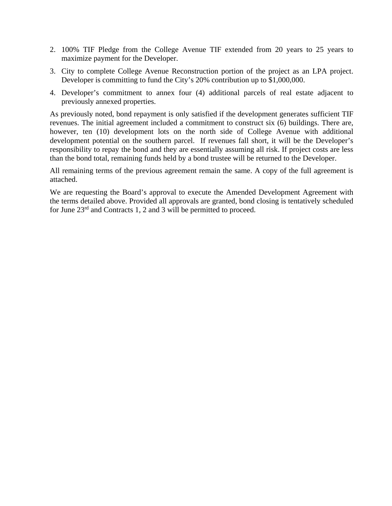- 2. 100% TIF Pledge from the College Avenue TIF extended from 20 years to 25 years to maximize payment for the Developer.
- 3. City to complete College Avenue Reconstruction portion of the project as an LPA project. Developer is committing to fund the City's 20% contribution up to \$1,000,000.
- 4. Developer's commitment to annex four (4) additional parcels of real estate adjacent to previously annexed properties.

As previously noted, bond repayment is only satisfied if the development generates sufficient TIF revenues. The initial agreement included a commitment to construct six (6) buildings. There are, however, ten (10) development lots on the north side of College Avenue with additional development potential on the southern parcel. If revenues fall short, it will be the Developer's responsibility to repay the bond and they are essentially assuming all risk. If project costs are less than the bond total, remaining funds held by a bond trustee will be returned to the Developer.

All remaining terms of the previous agreement remain the same. A copy of the full agreement is attached.

We are requesting the Board's approval to execute the Amended Development Agreement with the terms detailed above. Provided all approvals are granted, bond closing is tentatively scheduled for June 23rd and Contracts 1, 2 and 3 will be permitted to proceed.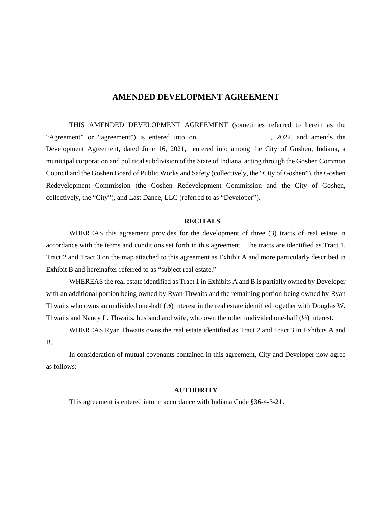## **AMENDED DEVELOPMENT AGREEMENT**

THIS AMENDED DEVELOPMENT AGREEMENT (sometimes referred to herein as the "Agreement" or "agreement") is entered into on \_\_\_\_\_\_\_\_\_\_\_\_\_\_\_\_\_\_\_\_, 2022, and amends the Development Agreement, dated June 16, 2021, entered into among the City of Goshen, Indiana, a municipal corporation and political subdivision of the State of Indiana, acting through the Goshen Common Council and the Goshen Board of Public Works and Safety (collectively, the "City of Goshen"), the Goshen Redevelopment Commission (the Goshen Redevelopment Commission and the City of Goshen, collectively, the "City"), and Last Dance, LLC (referred to as "Developer").

#### **RECITALS**

WHEREAS this agreement provides for the development of three (3) tracts of real estate in accordance with the terms and conditions set forth in this agreement. The tracts are identified as Tract 1, Tract 2 and Tract 3 on the map attached to this agreement as Exhibit A and more particularly described in Exhibit B and hereinafter referred to as "subject real estate."

WHEREAS the real estate identified as Tract 1 in Exhibits A and B is partially owned by Developer with an additional portion being owned by Ryan Thwaits and the remaining portion being owned by Ryan Thwaits who owns an undivided one-half (½) interest in the real estate identified together with Douglas W. Thwaits and Nancy L. Thwaits, husband and wife, who own the other undivided one-half (½) interest.

WHEREAS Ryan Thwaits owns the real estate identified as Tract 2 and Tract 3 in Exhibits A and B.

In consideration of mutual covenants contained in this agreement, City and Developer now agree as follows:

## **AUTHORITY**

This agreement is entered into in accordance with Indiana Code §36-4-3-21.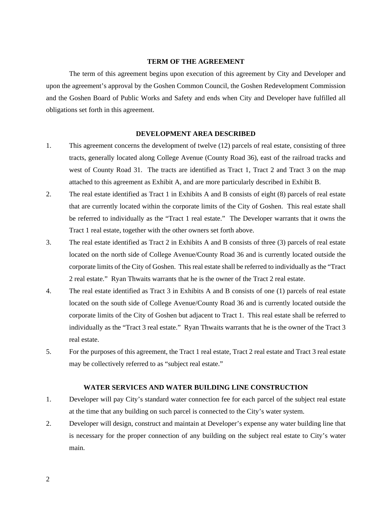#### **TERM OF THE AGREEMENT**

The term of this agreement begins upon execution of this agreement by City and Developer and upon the agreement's approval by the Goshen Common Council, the Goshen Redevelopment Commission and the Goshen Board of Public Works and Safety and ends when City and Developer have fulfilled all obligations set forth in this agreement.

#### **DEVELOPMENT AREA DESCRIBED**

- 1. This agreement concerns the development of twelve (12) parcels of real estate, consisting of three tracts, generally located along College Avenue (County Road 36), east of the railroad tracks and west of County Road 31. The tracts are identified as Tract 1, Tract 2 and Tract 3 on the map attached to this agreement as Exhibit A, and are more particularly described in Exhibit B.
- 2. The real estate identified as Tract 1 in Exhibits A and B consists of eight (8) parcels of real estate that are currently located within the corporate limits of the City of Goshen. This real estate shall be referred to individually as the "Tract 1 real estate." The Developer warrants that it owns the Tract 1 real estate, together with the other owners set forth above.
- 3. The real estate identified as Tract 2 in Exhibits A and B consists of three (3) parcels of real estate located on the north side of College Avenue/County Road 36 and is currently located outside the corporate limits of the City of Goshen. This real estate shall be referred to individually as the "Tract 2 real estate." Ryan Thwaits warrants that he is the owner of the Tract 2 real estate.
- 4. The real estate identified as Tract 3 in Exhibits A and B consists of one (1) parcels of real estate located on the south side of College Avenue/County Road 36 and is currently located outside the corporate limits of the City of Goshen but adjacent to Tract 1. This real estate shall be referred to individually as the "Tract 3 real estate." Ryan Thwaits warrants that he is the owner of the Tract 3 real estate.
- 5. For the purposes of this agreement, the Tract 1 real estate, Tract 2 real estate and Tract 3 real estate may be collectively referred to as "subject real estate."

#### **WATER SERVICES AND WATER BUILDING LINE CONSTRUCTION**

- 1. Developer will pay City's standard water connection fee for each parcel of the subject real estate at the time that any building on such parcel is connected to the City's water system.
- 2. Developer will design, construct and maintain at Developer's expense any water building line that is necessary for the proper connection of any building on the subject real estate to City's water main.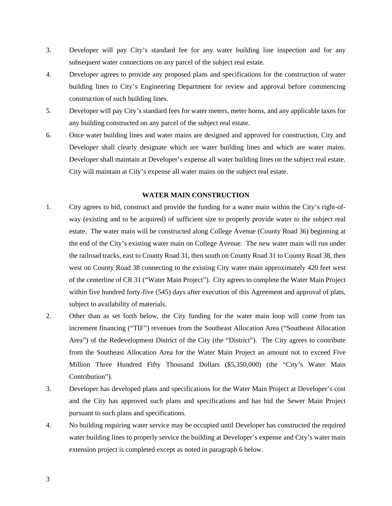- 3. Developer will pay City's standard fee for any water building line inspection and for any subsequent water connections on any parcel of the subject real estate.
- 4. Developer agrees to provide any proposed plans and specifications for the construction of water building lines to City's Engineering Department for review and approval before commencing construction of such building lines.
- 5. Developer will pay City's standard fees for water meters, meter horns, and any applicable taxes for any building constructed on any parcel of the subject real estate.
- 6. Once water building lines and water mains are designed and approved for construction, City and Developer shall clearly designate which are water building lines and which are water mains. Developer shall maintain at Developer's expense all water building lines on the subject real estate. City will maintain at City's expense all water mains on the subject real estate.

## **WATER MAIN CONSTRUCTION**

- 1. City agrees to bid, construct and provide the funding for a water main within the City's right-ofway (existing and to be acquired) of sufficient size to properly provide water to the subject real estate. The water main will be constructed along College Avenue (County Road 36) beginning at the end of the City's existing water main on College Avenue. The new water main will run under the railroad tracks, east to County Road 31, then south on County Road 31 to County Road 38, then west on County Road 38 connecting to the existing City water main approximately 420 feet west of the centerline of CR 31 ("Water Main Project"). City agrees to complete the Water Main Project within five hundred forty-five (545) days after execution of this Agreement and approval of plats, subject to availability of materials.
- 2. Other than as set forth below, the City funding for the water main loop will come from tax increment financing ("TIF") revenues from the Southeast Allocation Area ("Southeast Allocation Area") of the Redevelopment District of the City (the "District"). The City agrees to contribute from the Southeast Allocation Area for the Water Main Project an amount not to exceed Five Million Three Hundred Fifty Thousand Dollars (\$5,350,000) (the "City's Water Main Contribution").
- 3. Developer has developed plans and specifications for the Water Main Project at Developer's cost and the City has approved such plans and specifications and has bid the Sewer Main Project pursuant to such plans and specifications.
- 4. No building requiring water service may be occupied until Developer has constructed the required water building lines to properly service the building at Developer's expense and City's water main extension project is completed except as noted in paragraph 6 below.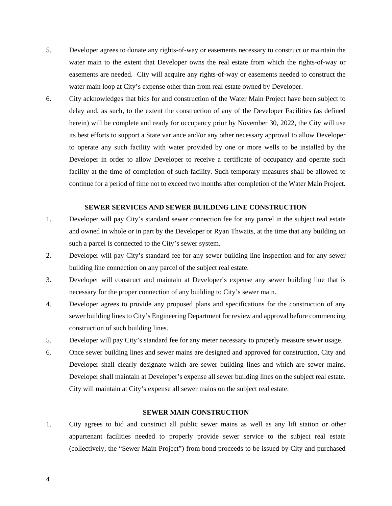- 5. Developer agrees to donate any rights-of-way or easements necessary to construct or maintain the water main to the extent that Developer owns the real estate from which the rights-of-way or easements are needed. City will acquire any rights-of-way or easements needed to construct the water main loop at City's expense other than from real estate owned by Developer.
- 6. City acknowledges that bids for and construction of the Water Main Project have been subject to delay and, as such, to the extent the construction of any of the Developer Facilities (as defined herein) will be complete and ready for occupancy prior by November 30, 2022, the City will use its best efforts to support a State variance and/or any other necessary approval to allow Developer to operate any such facility with water provided by one or more wells to be installed by the Developer in order to allow Developer to receive a certificate of occupancy and operate such facility at the time of completion of such facility. Such temporary measures shall be allowed to continue for a period of time not to exceed two months after completion of the Water Main Project.

#### **SEWER SERVICES AND SEWER BUILDING LINE CONSTRUCTION**

- 1. Developer will pay City's standard sewer connection fee for any parcel in the subject real estate and owned in whole or in part by the Developer or Ryan Thwaits, at the time that any building on such a parcel is connected to the City's sewer system.
- 2. Developer will pay City's standard fee for any sewer building line inspection and for any sewer building line connection on any parcel of the subject real estate.
- 3. Developer will construct and maintain at Developer's expense any sewer building line that is necessary for the proper connection of any building to City's sewer main.
- 4. Developer agrees to provide any proposed plans and specifications for the construction of any sewer building lines to City's Engineering Department for review and approval before commencing construction of such building lines.
- 5. Developer will pay City's standard fee for any meter necessary to properly measure sewer usage.
- 6. Once sewer building lines and sewer mains are designed and approved for construction, City and Developer shall clearly designate which are sewer building lines and which are sewer mains. Developer shall maintain at Developer's expense all sewer building lines on the subject real estate. City will maintain at City's expense all sewer mains on the subject real estate.

## **SEWER MAIN CONSTRUCTION**

1. City agrees to bid and construct all public sewer mains as well as any lift station or other appurtenant facilities needed to properly provide sewer service to the subject real estate (collectively, the "Sewer Main Project") from bond proceeds to be issued by City and purchased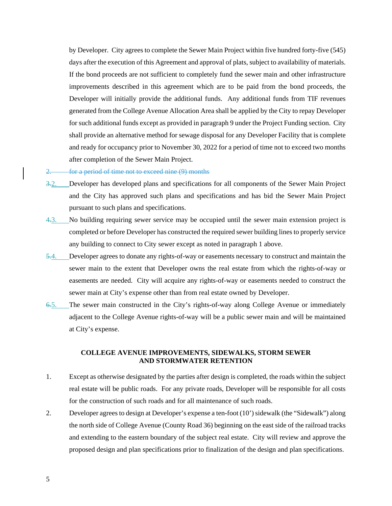by Developer. City agrees to complete the Sewer Main Project within five hundred forty-five (545) days after the execution of this Agreement and approval of plats, subject to availability of materials. If the bond proceeds are not sufficient to completely fund the sewer main and other infrastructure improvements described in this agreement which are to be paid from the bond proceeds, the Developer will initially provide the additional funds. Any additional funds from TIF revenues generated from the College Avenue Allocation Area shall be applied by the City to repay Developer for such additional funds except as provided in paragraph 9 under the Project Funding section. City shall provide an alternative method for sewage disposal for any Developer Facility that is complete and ready for occupancy prior to November 30, 2022 for a period of time not to exceed two months after completion of the Sewer Main Project.

#### 2. for a period of time not to exceed nine (9) months

- 3.2. Developer has developed plans and specifications for all components of the Sewer Main Project and the City has approved such plans and specifications and has bid the Sewer Main Project pursuant to such plans and specifications.
- 4.3. No building requiring sewer service may be occupied until the sewer main extension project is completed or before Developer has constructed the required sewer building lines to properly service any building to connect to City sewer except as noted in paragraph 1 above.
- 5.4. Developer agrees to donate any rights-of-way or easements necessary to construct and maintain the sewer main to the extent that Developer owns the real estate from which the rights-of-way or easements are needed. City will acquire any rights-of-way or easements needed to construct the sewer main at City's expense other than from real estate owned by Developer.
- 6.5. The sewer main constructed in the City's rights-of-way along College Avenue or immediately adjacent to the College Avenue rights-of-way will be a public sewer main and will be maintained at City's expense.

#### **COLLEGE AVENUE IMPROVEMENTS, SIDEWALKS, STORM SEWER AND STORMWATER RETENTION**

- 1. Except as otherwise designated by the parties after design is completed, the roads within the subject real estate will be public roads. For any private roads, Developer will be responsible for all costs for the construction of such roads and for all maintenance of such roads.
- 2. Developer agrees to design at Developer's expense a ten-foot (10') sidewalk (the "Sidewalk") along the north side of College Avenue (County Road 36) beginning on the east side of the railroad tracks and extending to the eastern boundary of the subject real estate. City will review and approve the proposed design and plan specifications prior to finalization of the design and plan specifications.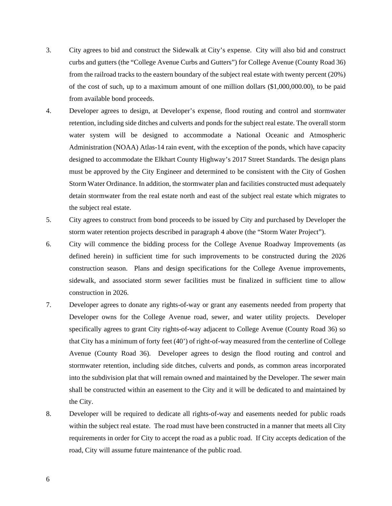- 3. City agrees to bid and construct the Sidewalk at City's expense. City will also bid and construct curbs and gutters (the "College Avenue Curbs and Gutters") for College Avenue (County Road 36) from the railroad tracks to the eastern boundary of the subject real estate with twenty percent (20%) of the cost of such, up to a maximum amount of one million dollars (\$1,000,000.00), to be paid from available bond proceeds.
- 4. Developer agrees to design, at Developer's expense, flood routing and control and stormwater retention, including side ditches and culverts and ponds for the subject real estate. The overall storm water system will be designed to accommodate a National Oceanic and Atmospheric Administration (NOAA) Atlas-14 rain event, with the exception of the ponds, which have capacity designed to accommodate the Elkhart County Highway's 2017 Street Standards. The design plans must be approved by the City Engineer and determined to be consistent with the City of Goshen Storm Water Ordinance. In addition, the stormwater plan and facilities constructed must adequately detain stormwater from the real estate north and east of the subject real estate which migrates to the subject real estate.
- 5. City agrees to construct from bond proceeds to be issued by City and purchased by Developer the storm water retention projects described in paragraph 4 above (the "Storm Water Project").
- 6. City will commence the bidding process for the College Avenue Roadway Improvements (as defined herein) in sufficient time for such improvements to be constructed during the 2026 construction season. Plans and design specifications for the College Avenue improvements, sidewalk, and associated storm sewer facilities must be finalized in sufficient time to allow construction in 2026.
- 7. Developer agrees to donate any rights-of-way or grant any easements needed from property that Developer owns for the College Avenue road, sewer, and water utility projects. Developer specifically agrees to grant City rights-of-way adjacent to College Avenue (County Road 36) so that City has a minimum of forty feet (40') of right-of-way measured from the centerline of College Avenue (County Road 36). Developer agrees to design the flood routing and control and stormwater retention, including side ditches, culverts and ponds, as common areas incorporated into the subdivision plat that will remain owned and maintained by the Developer. The sewer main shall be constructed within an easement to the City and it will be dedicated to and maintained by the City.
- 8. Developer will be required to dedicate all rights-of-way and easements needed for public roads within the subject real estate. The road must have been constructed in a manner that meets all City requirements in order for City to accept the road as a public road. If City accepts dedication of the road, City will assume future maintenance of the public road.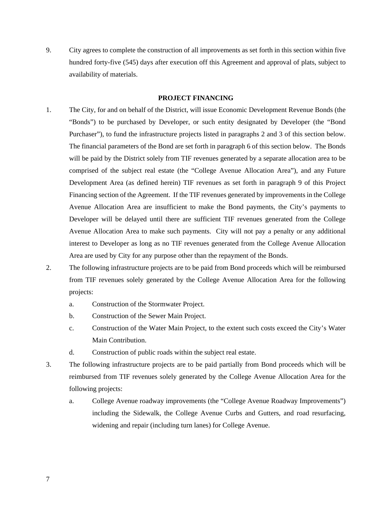9. City agrees to complete the construction of all improvements as set forth in this section within five hundred forty-five (545) days after execution off this Agreement and approval of plats, subject to availability of materials.

#### **PROJECT FINANCING**

- 1. The City, for and on behalf of the District, will issue Economic Development Revenue Bonds (the "Bonds") to be purchased by Developer, or such entity designated by Developer (the "Bond Purchaser"), to fund the infrastructure projects listed in paragraphs 2 and 3 of this section below. The financial parameters of the Bond are set forth in paragraph 6 of this section below. The Bonds will be paid by the District solely from TIF revenues generated by a separate allocation area to be comprised of the subject real estate (the "College Avenue Allocation Area"), and any Future Development Area (as defined herein) TIF revenues as set forth in paragraph 9 of this Project Financing section of the Agreement. If the TIF revenues generated by improvements in the College Avenue Allocation Area are insufficient to make the Bond payments, the City's payments to Developer will be delayed until there are sufficient TIF revenues generated from the College Avenue Allocation Area to make such payments. City will not pay a penalty or any additional interest to Developer as long as no TIF revenues generated from the College Avenue Allocation Area are used by City for any purpose other than the repayment of the Bonds.
- 2. The following infrastructure projects are to be paid from Bond proceeds which will be reimbursed from TIF revenues solely generated by the College Avenue Allocation Area for the following projects:
	- a. Construction of the Stormwater Project.
	- b. Construction of the Sewer Main Project.
	- c. Construction of the Water Main Project, to the extent such costs exceed the City's Water Main Contribution.
	- d. Construction of public roads within the subject real estate.
- 3. The following infrastructure projects are to be paid partially from Bond proceeds which will be reimbursed from TIF revenues solely generated by the College Avenue Allocation Area for the following projects:
	- a. College Avenue roadway improvements (the "College Avenue Roadway Improvements") including the Sidewalk, the College Avenue Curbs and Gutters, and road resurfacing, widening and repair (including turn lanes) for College Avenue.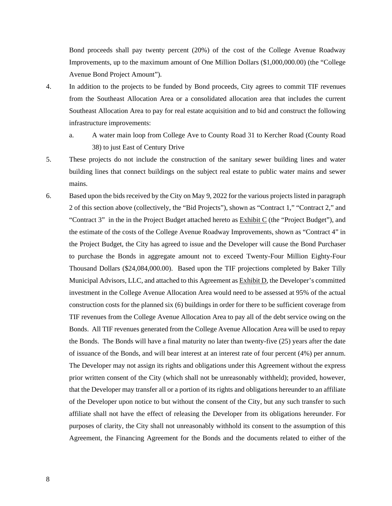Bond proceeds shall pay twenty percent (20%) of the cost of the College Avenue Roadway Improvements, up to the maximum amount of One Million Dollars (\$1,000,000.00) (the "College Avenue Bond Project Amount").

- 4. In addition to the projects to be funded by Bond proceeds, City agrees to commit TIF revenues from the Southeast Allocation Area or a consolidated allocation area that includes the current Southeast Allocation Area to pay for real estate acquisition and to bid and construct the following infrastructure improvements:
	- a. A water main loop from College Ave to County Road 31 to Kercher Road (County Road 38) to just East of Century Drive
- 5. These projects do not include the construction of the sanitary sewer building lines and water building lines that connect buildings on the subject real estate to public water mains and sewer mains.
- 6. Based upon the bids received by the City on May 9, 2022 for the various projects listed in paragraph 2 of this section above (collectively, the "Bid Projects"), shown as "Contract 1," "Contract 2," and "Contract 3" in the in the Project Budget attached hereto as Exhibit C (the "Project Budget"), and the estimate of the costs of the College Avenue Roadway Improvements, shown as "Contract 4" in the Project Budget, the City has agreed to issue and the Developer will cause the Bond Purchaser to purchase the Bonds in aggregate amount not to exceed Twenty-Four Million Eighty-Four Thousand Dollars (\$24,084,000.00). Based upon the TIF projections completed by Baker Tilly Municipal Advisors, LLC, and attached to this Agreement as Exhibit D, the Developer's committed investment in the College Avenue Allocation Area would need to be assessed at 95% of the actual construction costs for the planned six (6) buildings in order for there to be sufficient coverage from TIF revenues from the College Avenue Allocation Area to pay all of the debt service owing on the Bonds. All TIF revenues generated from the College Avenue Allocation Area will be used to repay the Bonds. The Bonds will have a final maturity no later than twenty-five (25) years after the date of issuance of the Bonds, and will bear interest at an interest rate of four percent (4%) per annum. The Developer may not assign its rights and obligations under this Agreement without the express prior written consent of the City (which shall not be unreasonably withheld); provided, however, that the Developer may transfer all or a portion of its rights and obligations hereunder to an affiliate of the Developer upon notice to but without the consent of the City, but any such transfer to such affiliate shall not have the effect of releasing the Developer from its obligations hereunder. For purposes of clarity, the City shall not unreasonably withhold its consent to the assumption of this Agreement, the Financing Agreement for the Bonds and the documents related to either of the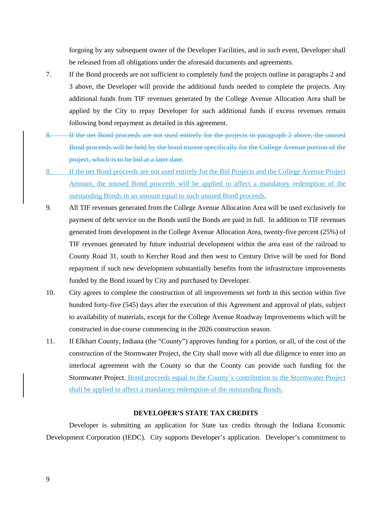forgoing by any subsequent owner of the Developer Facilities, and in such event, Developer shall be released from all obligations under the aforesaid documents and agreements.

- 7. If the Bond proceeds are not sufficient to completely fund the projects outline in paragraphs 2 and 3 above, the Developer will provide the additional funds needed to complete the projects. Any additional funds from TIF revenues generated by the College Avenue Allocation Area shall be applied by the City to repay Developer for such additional funds if excess revenues remain following bond repayment as detailed in this agreement.
- 8. If the net Bond proceeds are not used entirely for the projects in paragraph 2 above, the unused Bond proceeds will be held by the bond trustee specifically for the College Avenue portion of the project, which is to be bid at a later date.
- 8. If the net Bond proceeds are not used entirely for the Bid Projects and the College Avenue Project Amount, the unused Bond proceeds will be applied to affect a mandatory redemption of the outstanding Bonds in an amount equal to such unused Bond proceeds.
- 9. All TIF revenues generated from the College Avenue Allocation Area will be used exclusively for payment of debt service on the Bonds until the Bonds are paid in full. In addition to TIF revenues generated from development in the College Avenue Allocation Area, twenty-five percent (25%) of TIF revenues generated by future industrial development within the area east of the railroad to County Road 31, south to Kercher Road and then west to Century Drive will be used for Bond repayment if such new development substantially benefits from the infrastructure improvements funded by the Bond issued by City and purchased by Developer.
- 10. City agrees to complete the construction of all improvements set forth in this section within five hundred forty-five (545) days after the execution of this Agreement and approval of plats, subject to availability of materials, except for the College Avenue Roadway Improvements which will be constructed in due course commencing in the 2026 construction season.
- 11. If Elkhart County, Indiana (the "County") approves funding for a portion, or all, of the cost of the construction of the Stormwater Project, the City shall move with all due diligence to enter into an interlocal agreement with the County so that the County can provide such funding for the Stormwater Project. Bond proceeds equal to the County's contribution to the Stormwater Project shall be applied to affect a mandatory redemption of the outstanding Bonds.

#### **DEVELOPER'S STATE TAX CREDITS**

Developer is submitting an application for State tax credits through the Indiana Economic Development Corporation (IEDC). City supports Developer's application. Developer's commitment to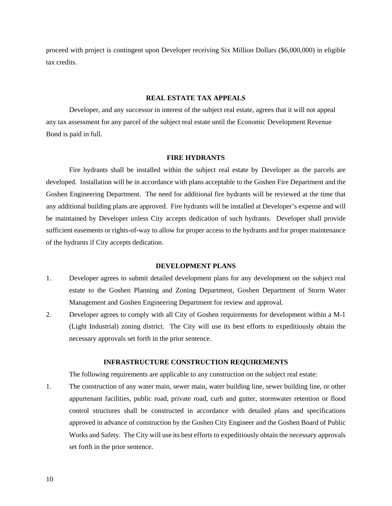proceed with project is contingent upon Developer receiving Six Million Dollars (\$6,000,000) in eligible tax credits.

#### **REAL ESTATE TAX APPEALS**

Developer, and any successor in interest of the subject real estate, agrees that it will not appeal any tax assessment for any parcel of the subject real estate until the Economic Development Revenue Bond is paid in full.

#### **FIRE HYDRANTS**

Fire hydrants shall be installed within the subject real estate by Developer as the parcels are developed. Installation will be in accordance with plans acceptable to the Goshen Fire Department and the Goshen Engineering Department. The need for additional fire hydrants will be reviewed at the time that any additional building plans are approved. Fire hydrants will be installed at Developer's expense and will be maintained by Developer unless City accepts dedication of such hydrants. Developer shall provide sufficient easements or rights-of-way to allow for proper access to the hydrants and for proper maintenance of the hydrants if City accepts dedication.

#### **DEVELOPMENT PLANS**

- 1. Developer agrees to submit detailed development plans for any development on the subject real estate to the Goshen Planning and Zoning Department, Goshen Department of Storm Water Management and Goshen Engineering Department for review and approval.
- 2. Developer agrees to comply with all City of Goshen requirements for development within a M-1 (Light Industrial) zoning district. The City will use its best efforts to expeditiously obtain the necessary approvals set forth in the prior sentence.

#### **INFRASTRUCTURE CONSTRUCTION REQUIREMENTS**

The following requirements are applicable to any construction on the subject real estate:

1. The construction of any water main, sewer main, water building line, sewer building line, or other appurtenant facilities, public road, private road, curb and gutter, stormwater retention or flood control structures shall be constructed in accordance with detailed plans and specifications approved in advance of construction by the Goshen City Engineer and the Goshen Board of Public Works and Safety. The City will use its best efforts to expeditiously obtain the necessary approvals set forth in the prior sentence.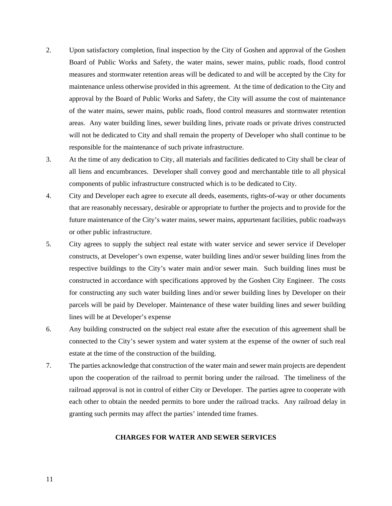- 2. Upon satisfactory completion, final inspection by the City of Goshen and approval of the Goshen Board of Public Works and Safety, the water mains, sewer mains, public roads, flood control measures and stormwater retention areas will be dedicated to and will be accepted by the City for maintenance unless otherwise provided in this agreement. At the time of dedication to the City and approval by the Board of Public Works and Safety, the City will assume the cost of maintenance of the water mains, sewer mains, public roads, flood control measures and stormwater retention areas. Any water building lines, sewer building lines, private roads or private drives constructed will not be dedicated to City and shall remain the property of Developer who shall continue to be responsible for the maintenance of such private infrastructure.
- 3. At the time of any dedication to City, all materials and facilities dedicated to City shall be clear of all liens and encumbrances. Developer shall convey good and merchantable title to all physical components of public infrastructure constructed which is to be dedicated to City.
- 4. City and Developer each agree to execute all deeds, easements, rights-of-way or other documents that are reasonably necessary, desirable or appropriate to further the projects and to provide for the future maintenance of the City's water mains, sewer mains, appurtenant facilities, public roadways or other public infrastructure.
- 5. City agrees to supply the subject real estate with water service and sewer service if Developer constructs, at Developer's own expense, water building lines and/or sewer building lines from the respective buildings to the City's water main and/or sewer main. Such building lines must be constructed in accordance with specifications approved by the Goshen City Engineer. The costs for constructing any such water building lines and/or sewer building lines by Developer on their parcels will be paid by Developer. Maintenance of these water building lines and sewer building lines will be at Developer's expense
- 6. Any building constructed on the subject real estate after the execution of this agreement shall be connected to the City's sewer system and water system at the expense of the owner of such real estate at the time of the construction of the building.
- 7. The parties acknowledge that construction of the water main and sewer main projects are dependent upon the cooperation of the railroad to permit boring under the railroad. The timeliness of the railroad approval is not in control of either City or Developer. The parties agree to cooperate with each other to obtain the needed permits to bore under the railroad tracks. Any railroad delay in granting such permits may affect the parties' intended time frames.

## **CHARGES FOR WATER AND SEWER SERVICES**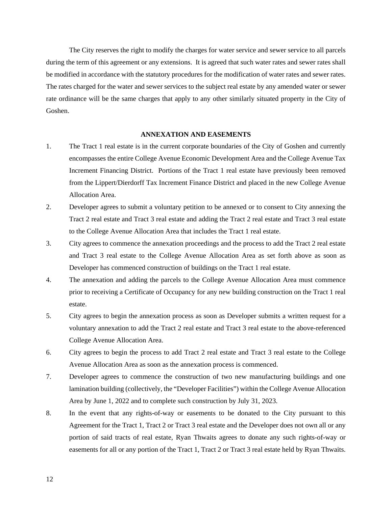The City reserves the right to modify the charges for water service and sewer service to all parcels during the term of this agreement or any extensions. It is agreed that such water rates and sewer rates shall be modified in accordance with the statutory procedures for the modification of water rates and sewer rates. The rates charged for the water and sewer services to the subject real estate by any amended water or sewer rate ordinance will be the same charges that apply to any other similarly situated property in the City of Goshen.

#### **ANNEXATION AND EASEMENTS**

- 1. The Tract 1 real estate is in the current corporate boundaries of the City of Goshen and currently encompasses the entire College Avenue Economic Development Area and the College Avenue Tax Increment Financing District. Portions of the Tract 1 real estate have previously been removed from the Lippert/Dierdorff Tax Increment Finance District and placed in the new College Avenue Allocation Area.
- 2. Developer agrees to submit a voluntary petition to be annexed or to consent to City annexing the Tract 2 real estate and Tract 3 real estate and adding the Tract 2 real estate and Tract 3 real estate to the College Avenue Allocation Area that includes the Tract 1 real estate.
- 3. City agrees to commence the annexation proceedings and the process to add the Tract 2 real estate and Tract 3 real estate to the College Avenue Allocation Area as set forth above as soon as Developer has commenced construction of buildings on the Tract 1 real estate.
- 4. The annexation and adding the parcels to the College Avenue Allocation Area must commence prior to receiving a Certificate of Occupancy for any new building construction on the Tract 1 real estate.
- 5. City agrees to begin the annexation process as soon as Developer submits a written request for a voluntary annexation to add the Tract 2 real estate and Tract 3 real estate to the above-referenced College Avenue Allocation Area.
- 6. City agrees to begin the process to add Tract 2 real estate and Tract 3 real estate to the College Avenue Allocation Area as soon as the annexation process is commenced.
- 7. Developer agrees to commence the construction of two new manufacturing buildings and one lamination building (collectively, the "Developer Facilities") within the College Avenue Allocation Area by June 1, 2022 and to complete such construction by July 31, 2023.
- 8. In the event that any rights-of-way or easements to be donated to the City pursuant to this Agreement for the Tract 1, Tract 2 or Tract 3 real estate and the Developer does not own all or any portion of said tracts of real estate, Ryan Thwaits agrees to donate any such rights-of-way or easements for all or any portion of the Tract 1, Tract 2 or Tract 3 real estate held by Ryan Thwaits.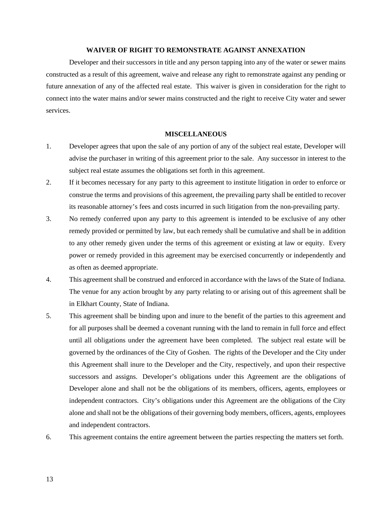#### **WAIVER OF RIGHT TO REMONSTRATE AGAINST ANNEXATION**

Developer and their successors in title and any person tapping into any of the water or sewer mains constructed as a result of this agreement, waive and release any right to remonstrate against any pending or future annexation of any of the affected real estate. This waiver is given in consideration for the right to connect into the water mains and/or sewer mains constructed and the right to receive City water and sewer services.

#### **MISCELLANEOUS**

- 1. Developer agrees that upon the sale of any portion of any of the subject real estate, Developer will advise the purchaser in writing of this agreement prior to the sale. Any successor in interest to the subject real estate assumes the obligations set forth in this agreement.
- 2. If it becomes necessary for any party to this agreement to institute litigation in order to enforce or construe the terms and provisions of this agreement, the prevailing party shall be entitled to recover its reasonable attorney's fees and costs incurred in such litigation from the non-prevailing party.
- 3. No remedy conferred upon any party to this agreement is intended to be exclusive of any other remedy provided or permitted by law, but each remedy shall be cumulative and shall be in addition to any other remedy given under the terms of this agreement or existing at law or equity. Every power or remedy provided in this agreement may be exercised concurrently or independently and as often as deemed appropriate.
- 4. This agreement shall be construed and enforced in accordance with the laws of the State of Indiana. The venue for any action brought by any party relating to or arising out of this agreement shall be in Elkhart County, State of Indiana.
- 5. This agreement shall be binding upon and inure to the benefit of the parties to this agreement and for all purposes shall be deemed a covenant running with the land to remain in full force and effect until all obligations under the agreement have been completed. The subject real estate will be governed by the ordinances of the City of Goshen. The rights of the Developer and the City under this Agreement shall inure to the Developer and the City, respectively, and upon their respective successors and assigns. Developer's obligations under this Agreement are the obligations of Developer alone and shall not be the obligations of its members, officers, agents, employees or independent contractors. City's obligations under this Agreement are the obligations of the City alone and shall not be the obligations of their governing body members, officers, agents, employees and independent contractors.
- 6. This agreement contains the entire agreement between the parties respecting the matters set forth.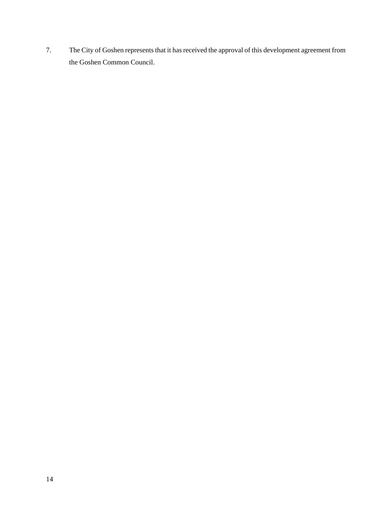7. The City of Goshen represents that it has received the approval of this development agreement from the Goshen Common Council.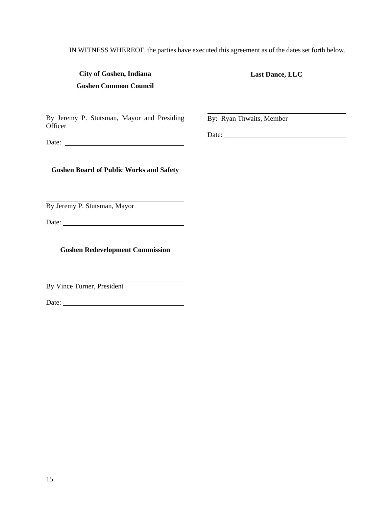IN WITNESS WHEREOF, the parties have executed this agreement as of the dates set forth below.

| City of Goshen, Indiana      |  |
|------------------------------|--|
| <b>Goshen Common Council</b> |  |

**Last Dance, LLC** 

By Jeremy P. Stutsman, Mayor and Presiding **Officer** 

By: Ryan Thwaits, Member

Date:

Date:

**Goshen Board of Public Works and Safety** 

By Jeremy P. Stutsman, Mayor

Date:

**Goshen Redevelopment Commission** 

By Vince Turner, President

Date:

l

l

l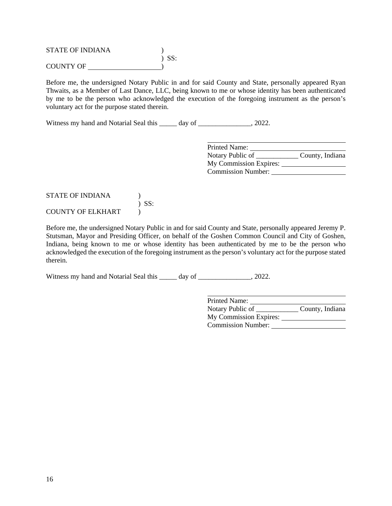STATE OF INDIANA ) ) SS: COUNTY OF )

Before me, the undersigned Notary Public in and for said County and State, personally appeared Ryan Thwaits, as a Member of Last Dance, LLC, being known to me or whose identity has been authenticated by me to be the person who acknowledged the execution of the foregoing instrument as the person's voluntary act for the purpose stated therein.

Witness my hand and Notarial Seal this \_\_\_\_\_ day of \_\_\_\_\_\_\_\_\_\_\_\_\_, 2022.

| Printed Name:                       |  |
|-------------------------------------|--|
| County, Indiana<br>Notary Public of |  |
| My Commission Expires:              |  |
| <b>Commission Number:</b>           |  |

## STATE OF INDIANA ( ) ) SS: COUNTY OF ELKHART (1)

Before me, the undersigned Notary Public in and for said County and State, personally appeared Jeremy P. Stutsman, Mayor and Presiding Officer, on behalf of the Goshen Common Council and City of Goshen, Indiana, being known to me or whose identity has been authenticated by me to be the person who acknowledged the execution of the foregoing instrument as the person's voluntary act for the purpose stated therein.

Witness my hand and Notarial Seal this \_\_\_\_\_ day of \_\_\_\_\_\_\_\_\_\_\_\_\_\_, 2022.

| Printed Name:             |                 |
|---------------------------|-----------------|
| Notary Public of          | County, Indiana |
| My Commission Expires:    |                 |
| <b>Commission Number:</b> |                 |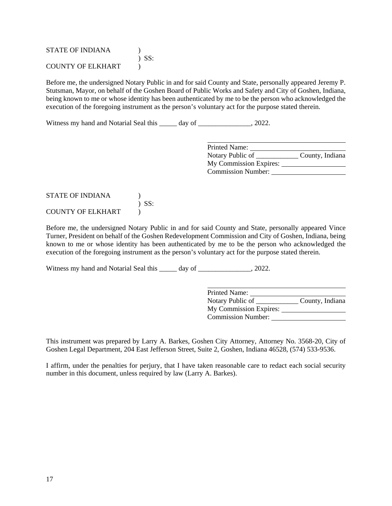| <b>STATE OF INDIANA</b>  |            |
|--------------------------|------------|
|                          | $\sum$ SS: |
| <b>COUNTY OF ELKHART</b> |            |

Before me, the undersigned Notary Public in and for said County and State, personally appeared Jeremy P. Stutsman, Mayor, on behalf of the Goshen Board of Public Works and Safety and City of Goshen, Indiana, being known to me or whose identity has been authenticated by me to be the person who acknowledged the execution of the foregoing instrument as the person's voluntary act for the purpose stated therein.

Witness my hand and Notarial Seal this \_\_\_\_\_ day of \_\_\_\_\_\_\_\_\_\_\_\_\_, 2022.

| Printed Name:             |                 |
|---------------------------|-----------------|
| Notary Public of          | County, Indiana |
| My Commission Expires:    |                 |
| <b>Commission Number:</b> |                 |

## STATE OF INDIANA (1) ) SS: COUNTY OF ELKHART (1)

Before me, the undersigned Notary Public in and for said County and State, personally appeared Vince Turner, President on behalf of the Goshen Redevelopment Commission and City of Goshen, Indiana, being known to me or whose identity has been authenticated by me to be the person who acknowledged the execution of the foregoing instrument as the person's voluntary act for the purpose stated therein.

Witness my hand and Notarial Seal this \_\_\_\_\_ day of \_\_\_\_\_\_\_\_\_\_\_\_\_\_, 2022.

 Printed Name: Notary Public of County, Indiana My Commission Expires: Commission Number:

This instrument was prepared by Larry A. Barkes, Goshen City Attorney, Attorney No. 3568-20, City of Goshen Legal Department, 204 East Jefferson Street, Suite 2, Goshen, Indiana 46528, (574) 533-9536.

I affirm, under the penalties for perjury, that I have taken reasonable care to redact each social security number in this document, unless required by law (Larry A. Barkes).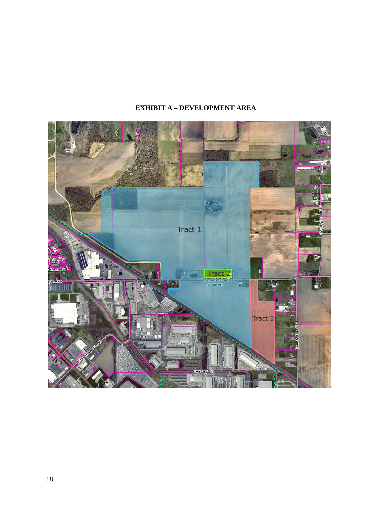# **EXHIBIT A – DEVELOPMENT AREA**

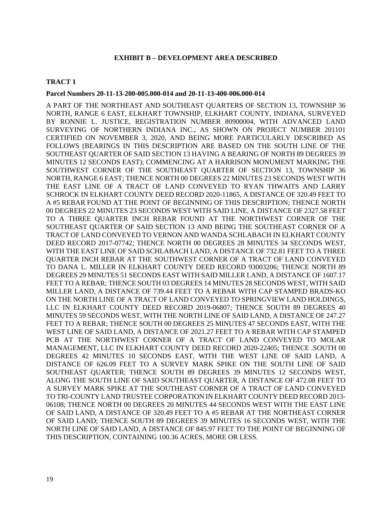#### **EXHIBIT B – DEVELOPMENT AREA DESCRIBED**

#### **TRACT 1**

#### **Parcel Numbers 20-11-13-200-005.000-014 and 20-11-13-400-006.000-014**

A PART OF THE NORTHEAST AND SOUTHEAST QUARTERS OF SECTION 13, TOWNSHIP 36 NORTH, RANGE 6 EAST, ELKHART TOWNSHIP, ELKHART COUNTY, INDIANA, SURVEYED BY RONNIE L. JUSTICE, REGISTRATION NUMBER 80900004, WITH ADVANCED LAND SURVEYING OF NORTHERN INDIANA INC., AS SHOWN ON PROJECT NUMBER 201101 CERTIFIED ON NOVEMBER 3, 2020, AND BEING MORE PARTICULARLY DESCRIBED AS FOLLOWS (BEARINGS IN THIS DESCRIPTION ARE BASED ON THE SOUTH LINE OF THE SOUTHEAST QUARTER OF SAID SECTION 13 HAVING A BEARING OF NORTH 89 DEGREES 39 MINUTES 12 SECONDS EAST); COMMENCING AT A HARRISON MONUMENT MARKING THE SOUTHWEST CORNER OF THE SOUTHEAST QUARTER OF SECTION 13, TOWNSHIP 36 NORTH, RANGE 6 EAST; THENCE NORTH 00 DEGREES 22 MINUTES 23 SECONDS WEST WITH THE EAST LINE OF A TRACT OF LAND CONVEYED TO RYAN THWAITS AND LARRY SCHROCK IN ELKHART COUNTY DEED RECORD 2020-11865, A DISTANCE OF 320.49 FEET TO A #5 REBAR FOUND AT THE POINT OF BEGINNING OF THIS DESCRIPTION; THENCE NORTH 00 DEGREES 22 MINUTES 23 SECONDS WEST WITH SAID LINE, A DISTANCE OF 2327.58 FEET TO A THREE QUARTER INCH REBAR FOUND AT THE NORTHWEST CORNER OF THE SOUTHEAST QUARTER OF SAID SECTION 13 AND BEING THE SOUTHEAST CORNER OF A TRACT OF LAND CONVEYED TO VERNON AND WANDA SCHLABACH IN ELKHART COUNTY DEED RECORD 2017-07742; THENCE NORTH 00 DEGREES 28 MINUTES 34 SECONDS WEST, WITH THE EAST LINE OF SAID SCHLABACH LAND, A DISTANCE OF 732.81 FEET TO A THREE QUARTER INCH REBAR AT THE SOUTHWEST CORNER OF A TRACT OF LAND CONVEYED TO DANA L. MILLER IN ELKHART COUNTY DEED RECORD 93003206; THENCE NORTH 89 DEGREES 29 MINUTES 51 SECONDS EAST WITH SAID MILLER LAND, A DISTANCE OF 1607.17 FEET TO A REBAR; THENCE SOUTH 03 DEGREES 14 MINUTES 28 SECONDS WEST, WITH SAID MILLER LAND, A DISTANCE OF 739.44 FEET TO A REBAR WITH CAP STAMPED BRADS-KO ON THE NORTH LINE OF A TRACT OF LAND CONVEYED TO SPRINGVIEW LAND HOLDINGS, LLC IN ELKHART COUNTY DEED RECORD 2019-06807; THENCE SOUTH 89 DEGREES 40 MINUTES 59 SECONDS WEST, WITH THE NORTH LINE OF SAID LAND, A DISTANCE OF 247.27 FEET TO A REBAR; THENCE SOUTH 00 DEGREES 25 MINUTES 47 SECONDS EAST, WITH THE WEST LINE OF SAID LAND, A DISTANCE OF 2021.27 FEET TO A REBAR WITH CAP STAMPED PCB AT THE NORTHWEST CORNER OF A TRACT OF LAND CONVEYED TO MOLAR MANAGEMENT, LLC IN ELKHART COUNTY DEED RECORD 2020-22405; THENCE .SOUTH 00 DEGREES 42 MINUTES 10 SECONDS EAST, WITH THE WEST LINE OF SAID LAND, A DISTANCE OF 626.09 FEET TO A SURVEY MARK SPIKE ON THE SOUTH LINE OF SAID SOUTHEAST QUARTER; THENCE SOUTH 89 DEGREES 39 MINUTES 12 SECONDS WEST, ALONG THE SOUTH LINE OF SAID SOUTHEAST QUARTER, A DISTANCE OF 472.08 FEET TO A SURVEY MARK SPIKE AT THE SOUTHEAST CORNER OF A TRACT OF LAND CONVEYED TO TRI-COUNTY LAND TRUSTEE CORPORATION IN ELKHART COUNTY DEED RECORD 2013- 06108; THENCE NORTH 00 DEGREES 20 MINUTES 44 SECONDS WEST WITH THE EAST LINE OF SAID LAND, A DISTANCE OF 320.49 FEET TO A #5 REBAR AT THE NORTHEAST CORNER OF SAID LAND; THENCE SOUTH 89 DEGREES 39 MINUTES 16 SECONDS WEST, WITH THE NORTH LINE OF SAID LAND, A DISTANCE OF 845.97 FEET TO THE POINT OF BEGINNING OF THIS DESCRIPTION, CONTAINING 100.36 ACRES, MORE OR LESS.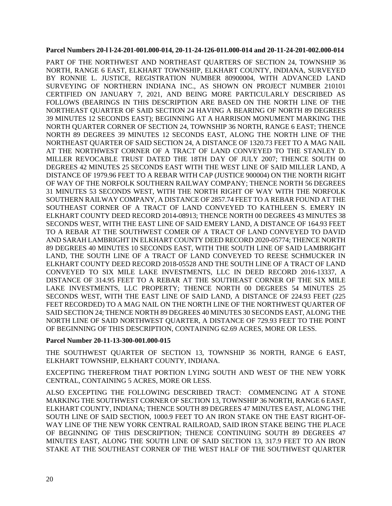#### **Parcel Numbers 20-l l-24-201-001.000-014, 20-11-24-126-011.000-014 and 20-11-24-201-002.000-014**

PART OF THE NORTHWEST AND NORTHEAST QUARTERS OF SECTION 24, TOWNSHIP 36 NORTH, RANGE 6 EAST, ELKHART TOWNSHIP, ELKHART COUNTY, INDIANA, SURVEYED BY RONNIE L. JUSTICE, REGISTRATION NUMBER 80900004, WITH ADVANCED LAND SURVEYING OF NORTHERN INDIANA INC., AS SHOWN ON PROJECT NUMBER 210101 CERTIFIED ON JANUARY 7, 2021, AND BEING MORE PARTICULARLY DESCRIBED AS FOLLOWS (BEARINGS IN THIS DESCRIPTION ARE BASED ON THE NORTH LINE OF THE NORTHEAST QUARTER OF SAID SECTION 24 HAVING A BEARING OF NORTH 89 DEGREES 39 MINUTES 12 SECONDS EAST); BEGINNING AT A HARRISON MONUMENT MARKING THE NORTH QUARTER CORNER OF SECTION 24, TOWNSHIP 36 NORTH, RANGE 6 EAST; THENCE NORTH 89 DEGREES 39 MINUTES 12 SECONDS EAST, ALONG THE NORTH LINE OF THE NORTHEAST QUARTER OF SAID SECTION 24, A DISTANCE OF 1320.73 FEET TO A MAG NAIL AT THE NORTHWEST CORNER OF A TRACT OF LAND CONVEYED TO THE STANLEY D. MILLER REVOCABLE TRUST DATED THE 18TH DAY OF JULY 2007; THENCE SOUTH 00 DEGREES 42 MINUTES 25 SECONDS EAST WITH THE WEST LINE OF SAID MILLER LAND, A DISTANCE OF 1979.96 FEET TO A REBAR WITH CAP (JUSTICE 900004) ON THE NORTH RIGHT OF WAY OF THE NORFOLK SOUTHERN RAILWAY COMPANY; THENCE NORTH 56 DEGREES 31 MINUTES 53 SECONDS WEST, WITH THE NORTH RIGHT OF WAY WITH THE NORFOLK SOUTHERN RAILWAY COMPANY, A DISTANCE OF 2857.74 FEET TO A REBAR FOUND AT THE SOUTHEAST CORNER OF A TRACT OF LAND CONVEYED TO KATHLEEN S. EMERY IN ELKHART COUNTY DEED RECORD 2014-08913; THENCE NORTH 00 DEGREES 43 MINUTES 38 SECONDS WEST, WITH THE EAST LINE OF SAID EMERY LAND, A DISTANCE OF 164.93 FEET TO A REBAR AT THE SOUTHWEST COMER OF A TRACT OF LAND CONVEYED TO DAVID AND SARAH LAMBRIGHT IN ELKHART COUNTY DEED RECORD 2020-05774; THENCE NORTH 89 DEGREES 40 MINUTES 10 SECONDS EAST, WITH THE SOUTH LINE OF SAID LAMBRIGHT LAND, THE SOUTH LINE OF A TRACT OF LAND CONVEYED TO REESE SCHMUCKER IN ELKHART COUNTY DEED RECORD 2018-05528 AND THE SOUTH LINE OF A TRACT OF LAND CONVEYED TO SIX MILE LAKE INVESTMENTS, LLC IN DEED RECORD 2016-13337, A DISTANCE OF 314.95 FEET TO A REBAR AT THE SOUTHEAST CORNER OF THE SIX MILE LAKE INVESTMENTS, LLC PROPERTY; THENCE NORTH 00 DEGREES 54 MINUTES 25 SECONDS WEST, WITH THE EAST LINE OF SAID LAND, A DISTANCE OF 224.93 FEET (225 FEET RECORDED) TO A MAG NAIL ON THE NORTH LINE OF THE NORTHWEST QUARTER OF SAID SECTION 24; THENCE NORTH 89 DEGREES 40 MINUTES 30 SECONDS EAST, ALONG THE NORTH LINE OF SAID NORTHWEST QUARTER, A DISTANCE OF 729.93 FEET TO THE POINT OF BEGINNING OF THIS DESCRIPTION, CONTAINING 62.69 ACRES, MORE OR LESS.

## **Parcel Number 20-11-13-300-001.000-015**

THE SOUTHWEST QUARTER OF SECTION 13, TOWNSHIP 36 NORTH, RANGE 6 EAST, ELKHART TOWNSHIP, ELKHART COUNTY, INDIANA.

EXCEPTING THEREFROM THAT PORTION LYING SOUTH AND WEST OF THE NEW YORK CENTRAL, CONTAINING 5 ACRES, MORE OR LESS.

ALSO EXCEPTING THE FOLLOWING DESCRIBED TRACT: COMMENCING AT A STONE MARKING THE SOUTHWEST CORNER OF SECTION 13, TOWNSHIP 36 NORTH, RANGE 6 EAST, ELKHART COUNTY, INDIANA; THENCE SOUTH 89 DEGREES 47 MINUTES EAST, ALONG THE SOUTH LINE OF SAID SECTION, 1000.9 FEET TO AN IRON STAKE ON THE EAST RIGHT-OF-WAY LINE OF THE NEW YORK CENTRAL RAILROAD, SAID IRON STAKE BEING THE PLACE OF BEGINNING OF THIS DESCRIPTION; THENCE CONTINUING SOUTH 89 DEGREES 47 MINUTES EAST, ALONG THE SOUTH LINE OF SAID SECTION 13, 317.9 FEET TO AN IRON STAKE AT THE SOUTHEAST CORNER OF THE WEST HALF OF THE SOUTHWEST QUARTER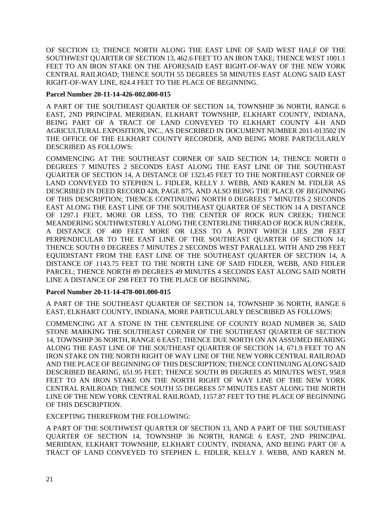OF SECTION 13; THENCE NORTH ALONG THE EAST LINE OF SAID WEST HALF OF THE SOUTHWEST QUARTER OF SECTION 13, 462.6 FEET TO AN IRON TAKE; THENCE WEST 1001.1 FEET TO AN IRON STAKE ON THE AFORESAID EAST RIGHT-OF-WAY OF THE NEW YORK CENTRAL RAILROAD; THENCE SOUTH 55 DEGREES 58 MINUTES EAST ALONG SAID EAST RIGHT-OF-WAY LINE, 824.4 FEET TO THE PLACE OF BEGINNING.

## **Parcel Number 20-11-14-426-002.000-015**

A PART OF THE SOUTHEAST QUARTER OF SECTION 14, TOWNSHIP 36 NORTH, RANGE 6 EAST, 2ND PRINCIPAL MERIDIAN, ELKHART TOWNSHIP, ELKHART COUNTY, INDIANA, BEING PART OF A TRACT OF LAND CONVEYED TO ELKHART COUNTY 4-H AND AGRICULTURAL EXPOSITION, INC., AS DESCRIBED IN DOCUMENT NUMBER 2011-013502 IN THE OFFICE OF THE ELKHART COUNTY RECORDER, AND BEING MORE PARTICULARLY DESCRIBED AS FOLLOWS:

COMMENCING AT THE SOUTHEAST CORNER OF SAID SECTION 14; THENCE NORTH 0 DEGREES 7 MINUTES 2 SECONDS EAST ALONG THE EAST LINE OF THE SOUTHEAST QUARTER OF SECTION 14, A DISTANCE OF 1323.45 FEET TO THE NORTHEAST CORNER OF LAND CONVEYED TO STEPHEN L. FIDLER, KELLY J. WEBB, AND KAREN M. FIDLER AS DESCRIBED IN DEED RECORD 428, PAGE 875, AND ALSO BEING THE PLACE OF BEGINNING OF THIS DESCRIPTION; THENCE CONTINUING NORTH 0 DEGREES 7 MINUTES 2 SECONDS EAST ALONG THE EAST LINE OF THE SOUTHEAST QUARTER OF SECTION 14 A DISTANCE OF 1297.1 FEET, MORE OR LESS, TO THE CENTER OF ROCK RUN CREEK; THENCE MEANDERING SOUTHWESTERLY ALONG THE CENTERLINE THREAD OF ROCK RUN CREEK, A DISTANCE OF 400 FEET MORE OR LESS TO A POINT WHICH LIES 298 FEET PERPENDICULAR TO THE EAST LINE OF THE SOUTHEAST QUARTER OF SECTION 14; THENCE SOUTH 0 DEGREES 7 MINUTES 2 SECONDS WEST PARALLEL WITH AND 298 FEET EQUIDISTANT FROM THE EAST LINE OF THE SOUTHEAST QUARTER OF SECTION 14, A DISTANCE OF 1143.75 FEET TO THE NORTH LINE OF SAID FIDLER, WEBB, AND FIDLER PARCEL; THENCE NORTH 89 DEGREES 49 MINUTES 4 SECONDS EAST ALONG SAID NORTH LINE A DISTANCE OF 298 FEET TO THE PLACE OF BEGINNING.

## **Parcel Number 20-11-14-478-001.000-015**

A PART OF THE SOUTHEAST QUARTER OF SECTION 14, TOWNSHIP 36 NORTH, RANGE 6 EAST, ELKHART COUNTY, INDIANA, MORE PARTICULARLY DESCRIBED AS FOLLOWS:

COMMENCING AT A STONE IN THE CENTERLINE OF COUNTY ROAD NUMBER 36, SAID STONE MARKING THE SOUTHEAST CORNER OF THE SOUTHEAST QUARTER OF SECTION 14, TOWNSHIP 36 NORTH, RANGE 6 EAST; THENCE DUE NORTH ON AN ASSUMED BEARING ALONG THE EAST LINE OF THE SOUTHEAST QUARTER OF SECTION 14, 671.9 FEET TO AN IRON STAKE ON THE NORTH RIGHT OF WAY LINE OF THE NEW YORK CENTRAL RAILROAD AND THE PLACE OF BEGINNING OF THIS DESCRIPTION; THENCE CONTINUING ALONG SAID DESCRIBED BEARING, 651.95 FEET; THENCE SOUTH 89 DEGREES 45 MINUTES WEST, 958.8 FEET TO AN IRON STAKE ON THE NORTH RIGHT OF WAY LINE OF THE NEW YORK CENTRAL RAILROAD; THENCE SOUTH 55 DEGREES 57 MINUTES EAST ALONG THE NORTH LINE OF THE NEW YORK CENTRAL RAILROAD, 1157.87 FEET TO THE PLACE OF BEGINNING OF THIS DESCRIPTION.

## EXCEPTING THEREFROM THE FOLLOWING:

A PART OF THE SOUTHWEST QUARTER OF SECTION 13, AND A PART OF THE SOUTHEAST QUARTER OF SECTION 14, TOWNSHIP 36 NORTH, RANGE 6 EAST, 2ND PRINCIPAL MERIDIAN, ELKHART TOWNSHIP, ELKHART COUNTY, INDIANA, AND BEING PART OF A TRACT OF LAND CONVEYED TO STEPHEN L. FIDLER, KELLY J. WEBB, AND KAREN M.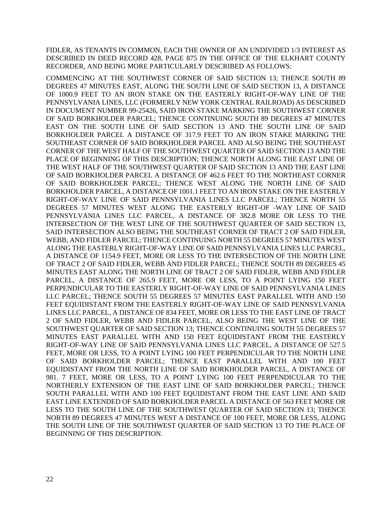FIDLER, AS TENANTS IN COMMON, EACH THE OWNER OF AN UNDIVIDED 1/3 INTEREST AS DESCRIBED IN DEED RECORD 428, PAGE 875 IN THE OFFICE OF THE ELKHART COUNTY RECORDER, AND BEING MORE PARTICULARLY DESCRIBED AS FOLLOWS:

COMMENCING AT THE SOUTHWEST CORNER OF SAID SECTION 13; THENCE SOUTH 89 DEGREES 47 MINUTES EAST, ALONG THE SOUTH LINE OF SAID SECTION 13, A DISTANCE OF 1000.9 FEET TO AN IRON STAKE ON THE EASTERLY RIGHT-OF-WAY LINE OF THE PENNSYLVANIA LINES, LLC (FORMERLY NEW YORK CENTRAL RAILROAD) AS DESCRIBED IN DOCUMENT NUMBER 99-25426, SAID IRON STAKE MARKING THE SOUTHWEST CORNER OF SAID BORKHOLDER PARCEL; THENCE CONTINUING SOUTH 89 DEGREES 47 MINUTES EAST ON THE SOUTH LINE OF SAID SECTION 13 AND THE SOUTH LINE OF SAID BORKHOLDER PARCEL A DISTANCE OF 317.9 FEET TO AN IRON STAKE MARKING THE SOUTHEAST CORNER OF SAID BORKHOLDER PARCEL AND ALSO BEING THE SOUTHEAST CORNER OF THE WEST HALF OF THE SOUTHWEST QUARTER OF SAID SECTION 13 AND THE PLACE OF BEGINNING OF THIS DESCRIPTION; THENCE NORTH ALONG THE EAST LINE OF THE WEST HALF OF THE SOUTHWEST QUARTER OF SAID SECTION 13 AND THE EAST LINE OF SAID BORKHOLDER PARCEL A DISTANCE OF 462.6 FEET TO THE NORTHEAST CORNER OF SAID BORKHOLDER PARCEL; THENCE WEST ALONG THE NORTH LINE OF SAID BORKHOLDER PARCEL, A DISTANCE OF 1001.1 FEET TO AN IRON STAKE ON THE EASTERLY RIGHT-OF-WAY LINE OF SAID PENNSYLVANIA LINES LLC PARCEL; THENCE NORTH 55 DEGREES 57 MINUTES WEST ALONG THE EASTERLY RIGHT-OF -WAY LINE OF SAID PENNSYLVANIA LINES LLC PARCEL, A DISTANCE OF 382.8 MORE OR LESS TO THE INTERSECTION OF THE WEST LINE OF THE SOUTHWEST QUARTER OF SAID SECTION 13, SAID INTERSECTION ALSO BEING THE SOUTHEAST CORNER OF TRACT 2 OF SAID FIDLER, WEBB, AND FIDLER PARCEL; THENCE CONTINUING NORTH 55 DEGREES 57 MINUTES WEST ALONG THE EASTERLY RIGHT-OF-WAY LINE OF SAID PENNSYLVANIA LINES LLC PARCEL, A DISTANCE OF 1154.9 FEET, MORE OR LESS TO THE INTERSECTION OF THE NORTH LINE OF TRACT 2 OF SAID FIDLER, WEBB AND FIDLER PARCEL; THENCE SOUTH 89 DEGREES 45 MINUTES EAST ALONG THE NORTH LINE OF TRACT 2 OF SAID FIDLER, WEBB AND FIDLER PARCEL, A DISTANCE OF 265.9 FEET, MORE OR LESS, TO A POINT LYING 150 FEET PERPENDICULAR TO THE EASTERLY RIGHT-OF-WAY LINE OF SAID PENNSYLVANIA LINES LLC PARCEL; THENCE SOUTH 55 DEGREES 57 MINUTES EAST PARALLEL WITH AND 150 FEET EQUIDISTANT FROM THE EASTERLY RIGHT-OF-WAY LINE OF SAID PENNSYLVANIA LINES LLC PARCEL, A DISTANCE OF 834 FEET, MORE OR LESS TO THE EAST LINE OF TRACT 2 OF SAID FIDLER, WEBB AND FIDLER PARCEL, ALSO BEING THE WEST LINE OF THE SOUTHWEST QUARTER OF SAID SECTION 13; THENCE CONTINUING SOUTH 55 DEGREES 57 MINUTES EAST PARALLEL WITH AND 150 FEET EQUIDISTANT FROM THE EASTERLY RIGHT-OF-WAY LINE OF SAID PENNSYLVANIA LINES LLC PARCEL, A DISTANCE OF 527.5 FEET, MORE OR LESS, TO A POINT LYING 100 FEET PERPENDICULAR TO THE NORTH LINE OF SAID BORKHOLDER PARCEL; THENCE EAST PARALLEL WITH AND 100 FEET EQUIDISTANT FROM THE NORTH LINE OF SAID BORKHOLDER PARCEL, A DISTANCE OF 981. 7 FEET, MORE OR LESS, TO A POINT LYING 100 FEET PERPENDICULAR TO THE NORTHERLY EXTENSION OF THE EAST LINE OF SAID BORKHOLDER PARCEL; THENCE SOUTH PARALLEL WITH AND 100 FEET EQUIDISTANT FROM THE EAST LINE AND SAID EAST LINE EXTENDED OF SAID BORKHOLDER PARCEL A DISTANCE OF 563 FEET MORE OR LESS TO THE SOUTH LINE OF THE SOUTHWEST QUARTER OF SAID SECTION 13; THENCE NORTH 89 DEGREES 47 MINUTES WEST A DISTANCE OF 100 FEET, MORE OR LESS, ALONG THE SOUTH LINE OF THE SOUTHWEST QUARTER OF SAID SECTION 13 TO THE PLACE OF BEGINNING OF THIS DESCRIPTION.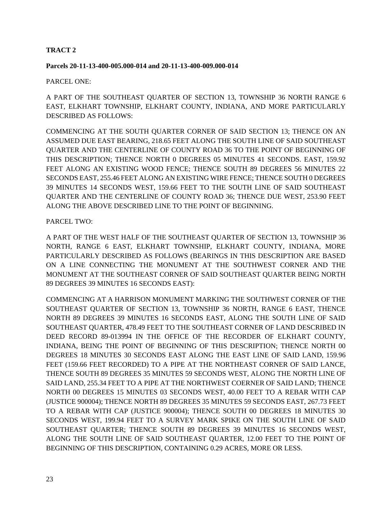## **TRACT 2**

#### **Parcels 20-11-13-400-005.000-014 and 20-11-13-400-009.000-014**

#### PARCEL ONE:

A PART OF THE SOUTHEAST QUARTER OF SECTION 13, TOWNSHIP 36 NORTH RANGE 6 EAST, ELKHART TOWNSHIP, ELKHART COUNTY, INDIANA, AND MORE PARTICULARLY DESCRIBED AS FOLLOWS:

COMMENCING AT THE SOUTH QUARTER CORNER OF SAID SECTION 13; THENCE ON AN ASSUMED DUE EAST BEARING, 218.65 FEET ALONG THE SOUTH LINE OF SAID SOUTHEAST QUARTER AND THE CENTERLINE OF COUNTY ROAD 36 TO THE POINT OF BEGINNING OF THIS DESCRIPTION; THENCE NORTH 0 DEGREES 05 MINUTES 41 SECONDS. EAST, 159.92 FEET ALONG AN EXISTING WOOD FENCE; THENCE SOUTH 89 DEGREES 56 MINUTES 22 SECONDS EAST, 255.46 FEET ALONG AN EXISTING WIRE FENCE; THENCE SOUTH 0 DEGREES 39 MINUTES 14 SECONDS WEST, 159.66 FEET TO THE SOUTH LINE OF SAID SOUTHEAST QUARTER AND THE CENTERLINE OF COUNTY ROAD 36; THENCE DUE WEST, 253.90 FEET ALONG THE ABOVE DESCRIBED LINE TO THE POINT OF BEGINNING.

## PARCEL TWO:

A PART OF THE WEST HALF OF THE SOUTHEAST QUARTER OF SECTION 13, TOWNSHIP 36 NORTH, RANGE 6 EAST, ELKHART TOWNSHIP, ELKHART COUNTY, INDIANA, MORE PARTICULARLY DESCRIBED AS FOLLOWS (BEARINGS IN THIS DESCRIPTION ARE BASED ON A LINE CONNECTING THE MONUMENT AT THE SOUTHWEST CORNER AND THE MONUMENT AT THE SOUTHEAST CORNER OF SAID SOUTHEAST QUARTER BEING NORTH 89 DEGREES 39 MINUTES 16 SECONDS EAST):

COMMENCING AT A HARRISON MONUMENT MARKING THE SOUTHWEST CORNER OF THE SOUTHEAST QUARTER OF SECTION 13, TOWNSHIP 36 NORTH, RANGE 6 EAST, THENCE NORTH 89 DEGREES 39 MINUTES 16 SECONDS EAST, ALONG THE SOUTH LINE OF SAID SOUTHEAST QUARTER, 478.49 FEET TO THE SOUTHEAST CORNER OF LAND DESCRIBED IN DEED RECORD 89-013994 IN THE OFFICE OF THE RECORDER OF ELKHART COUNTY, INDIANA, BEING THE POINT OF BEGINNING OF THIS DESCRIPTION; THENCE NORTH 00 DEGREES 18 MINUTES 30 SECONDS EAST ALONG THE EAST LINE OF SAID LAND, 159.96 FEET (159.66 FEET RECORDED) TO A PIPE AT THE NORTHEAST CORNER OF SAID LANCE, THENCE SOUTH 89 DEGREES 35 MINUTES 59 SECONDS WEST, ALONG THE NORTH LINE OF SAID LAND, 255.34 FEET TO A PIPE AT THE NORTHWEST COERNER OF SAID LAND; THENCE NORTH 00 DEGREES 15 MINUTES 03 SECONDS WEST, 40.00 FEET TO A REBAR WITH CAP (JUSTICE 900004); THENCE NORTH 89 DEGREES 35 MINUTES 59 SECONDS EAST, 267.73 FEET TO A REBAR WITH CAP (JUSTICE 900004); THENCE SOUTH 00 DEGREES 18 MINUTES 30 SECONDS WEST, 199.94 FEET TO A SURVEY MARK SPIKE ON THE SOUTH LINE OF SAID SOUTHEAST QUARTER; THENCE SOUTH 89 DEGREES 39 MINUTES 16 SECONDS WEST, ALONG THE SOUTH LINE OF SAID SOUTHEAST QUARTER, 12.00 FEET TO THE POINT OF BEGINNING OF THIS DESCRIPTION, CONTAINING 0.29 ACRES, MORE OR LESS.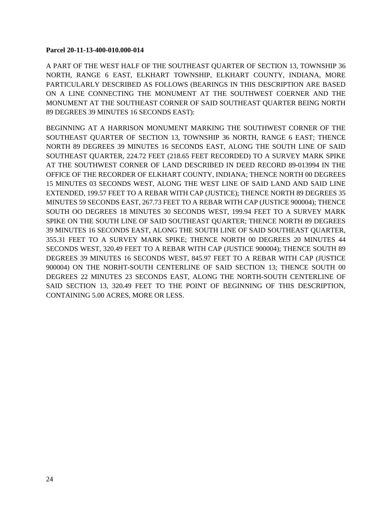#### **Parcel 20-11-13-400-010.000-014**

A PART OF THE WEST HALF OF THE SOUTHEAST QUARTER OF SECTION 13, TOWNSHIP 36 NORTH, RANGE 6 EAST, ELKHART TOWNSHIP, ELKHART COUNTY, INDIANA, MORE PARTICULARLY DESCRIBED AS FOLLOWS (BEARINGS IN THIS DESCRIPTION ARE BASED ON A LINE CONNECTING THE MONUMENT AT THE SOUTHWEST COERNER AND THE MONUMENT AT THE SOUTHEAST CORNER OF SAID SOUTHEAST QUARTER BEING NORTH 89 DEGREES 39 MINUTES 16 SECONDS EAST):

BEGINNING AT A HARRISON MONUMENT MARKING THE SOUTHWEST CORNER OF THE SOUTHEAST QUARTER OF SECTION 13, TOWNSHIP 36 NORTH, RANGE 6 EAST; THENCE NORTH 89 DEGREES 39 MINUTES 16 SECONDS EAST, ALONG THE SOUTH LINE OF SAID SOUTHEAST QUARTER, 224.72 FEET (218.65 FEET RECORDED) TO A SURVEY MARK SPIKE AT THE SOUTHWEST CORNER OF LAND DESCRIBED IN DEED RECORD 89-013994 IN THE OFFICE OF THE RECORDER OF ELKHART COUNTY, INDIANA; THENCE NORTH 00 DEGREES 15 MINUTES 03 SECONDS WEST, ALONG THE WEST LINE OF SAID LAND AND SAID LINE EXTENDED, 199.57 FEET TO A REBAR WITH CAP (JUSTICE); THENCE NORTH 89 DEGREES 35 MINUTES 59 SECONDS EAST, 267.73 FEET TO A REBAR WITH CAP (JUSTICE 900004); THENCE SOUTH OO DEGREES 18 MINUTES 30 SECONDS WEST, 199.94 FEET TO A SURVEY MARK SPIKE ON THE SOUTH LINE OF SAID SOUTHEAST QUARTER; THENCE NORTH 89 DEGREES 39 MINUTES 16 SECONDS EAST, ALONG THE SOUTH LINE OF SAID SOUTHEAST QUARTER, 355.31 FEET TO A SURVEY MARK SPIKE; THENCE NORTH 00 DEGREES 20 MINUTES 44 SECONDS WEST, 320.49 FEET TO A REBAR WITH CAP (JUSTICE 900004); THENCE SOUTH 89 DEGREES 39 MINUTES 16 SECONDS WEST, 845.97 FEET TO A REBAR WITH CAP (JUSTICE 900004) ON THE NORHT-SOUTH CENTERLINE OF SAID SECTION 13; THENCE SOUTH 00 DEGREES 22 MINUTES 23 SECONDS EAST, ALONG THE NORTH-SOUTH CENTERLINE OF SAID SECTION 13, 320.49 FEET TO THE POINT OF BEGINNING OF THIS DESCRIPTION, CONTAINING 5.00 ACRES, MORE OR LESS.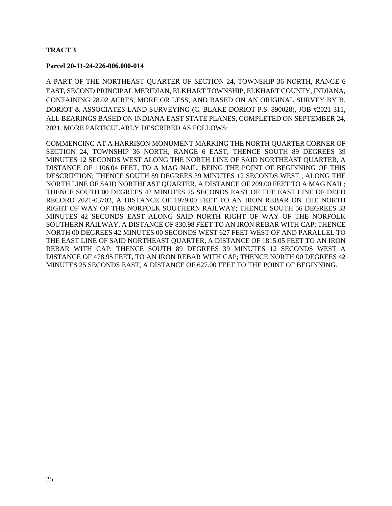## **TRACT 3**

#### **Parcel 20-11-24-226-006.000-014**

A PART OF THE NORTHEAST QUARTER OF SECTION 24, TOWNSHIP 36 NORTH, RANGE 6 EAST, SECOND PRINCIPAL MERIDIAN, ELKHART TOWNSHIP, ELKHART COUNTY, INDIANA, CONTAINING 28.02 ACRES, MORE OR LESS, AND BASED ON AN ORIGINAL SURVEY BY B. DORIOT & ASSOCIATES LAND SURVEYING (C. BLAKE DORIOT P.S. 890028), JOB #2021-311, ALL BEARINGS BASED ON INDIANA EAST STATE PLANES, COMPLETED ON SEPTEMBER 24, 2021, MORE PARTICULARLY DESCRIBED AS FOLLOWS:

COMMENCING AT A HARRISON MONUMENT MARKING THE NORTH QUARTER CORNER OF SECTION 24, TOWNSHIP 36 NORTH, RANGE 6 EAST; THENCE SOUTH 89 DEGREES 39 MINUTES 12 SECONDS WEST ALONG THE NORTH LINE OF SAID NORTHEAST QUARTER, A DISTANCE OF 1106.04 FEET, TO A MAG NAIL, BEING THE POINT OF BEGINNING OF THIS DESCRIPTION; THENCE SOUTH 89 DEGREES 39 MINUTES 12 SECONDS WEST , ALONG THE NORTH LINE OF SAID NORTHEAST QUARTER, A DISTANCE OF 209.00 FEET TO A MAG NAIL; THENCE SOUTH 00 DEGREES 42 MINUTES 25 SECONDS EAST OF THE EAST LINE OF DEED RECORD 2021-03702, A DISTANCE OF 1979.00 FEET TO AN IRON REBAR ON THE NORTH RIGHT OF WAY OF THE NORFOLK SOUTHERN RAILWAY; THENCE SOUTH 56 DEGREES 33 MINUTES 42 SECONDS EAST ALONG SAID NORTH RIGHT OF WAY OF THE NORFOLK SOUTHERN RAILWAY, A DISTANCE OF 830.98 FEET TO AN IRON REBAR WITH CAP; THENCE NORTH 00 DEGREES 42 MINUTES 00 SECONDS WEST 627 FEET WEST OF AND PARALLEL TO THE EAST LINE OF SAID NORTHEAST QUARTER, A DISTANCE OF 1815.05 FEET TO AN IRON REBAR WITH CAP; THENCE SOUTH 89 DEGREES 39 MINUTES 12 SECONDS WEST A DISTANCE OF 478.95 FEET, TO AN IRON REBAR WITH CAP; THENCE NORTH 00 DEGREES 42 MINUTES 25 SECONDS EAST, A DISTANCE OF 627.00 FEET TO THE POINT OF BEGINNING.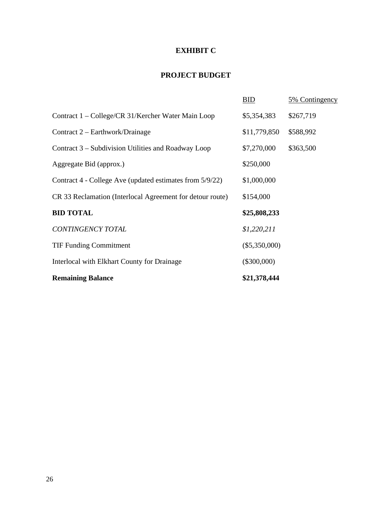# **EXHIBIT C**

# **PROJECT BUDGET**

|                                                           | BID             | 5% Contingency |
|-----------------------------------------------------------|-----------------|----------------|
| Contract 1 – College/CR 31/Kercher Water Main Loop        | \$5,354,383     | \$267,719      |
| Contract 2 – Earthwork/Drainage                           | \$11,779,850    | \$588,992      |
| Contract 3 – Subdivision Utilities and Roadway Loop       | \$7,270,000     | \$363,500      |
| Aggregate Bid (approx.)                                   | \$250,000       |                |
| Contract 4 - College Ave (updated estimates from 5/9/22)  | \$1,000,000     |                |
| CR 33 Reclamation (Interlocal Agreement for detour route) | \$154,000       |                |
| <b>BID TOTAL</b>                                          | \$25,808,233    |                |
| CONTINGENCY TOTAL                                         | \$1,220,211     |                |
| <b>TIF Funding Commitment</b>                             | $(\$5,350,000)$ |                |
| Interlocal with Elkhart County for Drainage               | $(\$300,000)$   |                |
| <b>Remaining Balance</b>                                  | \$21,378,444    |                |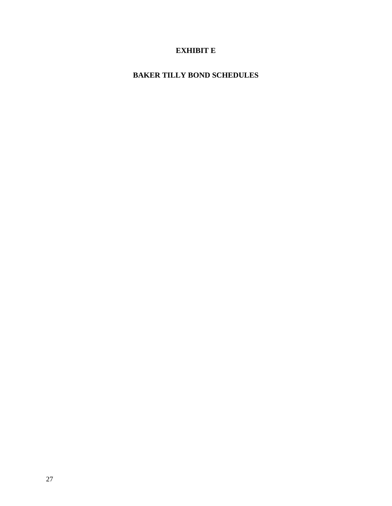# **EXHIBIT E**

# **BAKER TILLY BOND SCHEDULES**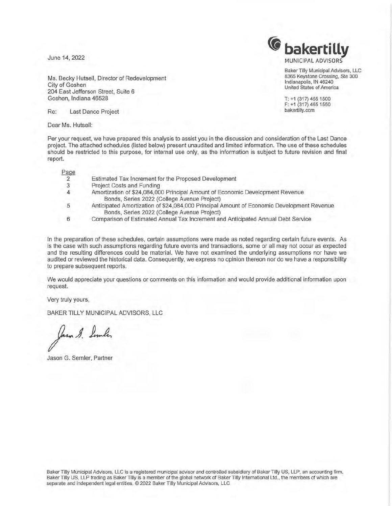June 14, 2022

Ms. Becky Hutsell, Director of Redevelopment City of Goshen 204 East Jefferson Street, Suite 6 Goshen, Indiana 46528

Re: Last Dance Project

Dear Ms. Hutsell:

Per your request, we have prepared this analysis to assist you in the discussion and consideration of the Last Dance project. The attached schedules (listed below) present unaudited and limited information. The use of these schedules should be restricted to this purpose, for internal use only, as the information is subject to future revision and final report.

Page

| ayc |                                                                                                                                          |
|-----|------------------------------------------------------------------------------------------------------------------------------------------|
| 2   | Estimated Tax Increment for the Proposed Development                                                                                     |
| 3   | Project Costs and Funding                                                                                                                |
| 4   | Amortization of \$24,084,000 Principal Amount of Economic Development Revenue<br>Bonds, Series 2022 (College Avenue Project)             |
| 5   | Anticipated Amortization of \$24,084,000 Principal Amount of Economic Development Revenue<br>Bonds, Series 2022 (College Avenue Project) |

6 Comparison of Estimated Annual Tax Increment and Anticipated Annual Debt Service

In the preparation of these schedules, certain assumptions were made as noted regarding certain future events. As is the case with such assumptions regarding future events and transactions, some or all may not occur as expected and the resulting differences could be material. We have not examined the underlying assumptions nor have we audited or reviewed the historical data. Consequently, we express no opinion thereon nor do we have a responsibility to prepare subsequent reports.

We would appreciate your questions or comments on this information and would provide additional information upon request.

Very truly yours,

BAKER TILLY MUNICIPAL ADVISORS, LLC

lasm g. Lumber

Jason G. Semler, Partner

**C** bakertilly MUNICIPAL ADVISORS

> Baker Tilly Municipal Advisors, LLC 8365 Keystone Crossing, Ste 300 Indianapolis, IN 46240 United States of America

T: +1 (317) 465 1500 F: +1 (317) 465 1550 bakertilly.com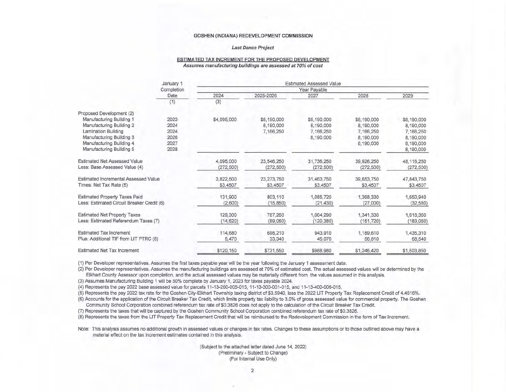#### Last Dance Project

#### ESTIMATED TAX INCREMENT FOR THE PROPOSED DEVELOPMENT Assumes manufacturing buildings are assessed at 70% of cost

|                                            | January 1  | <b>Estimated Assessed Value</b> |             |              |             |              |
|--------------------------------------------|------------|---------------------------------|-------------|--------------|-------------|--------------|
|                                            | Completion |                                 |             | Year Payable |             |              |
|                                            | Date       | 2024                            | 2025-2026   | 2027         | 2028        | 2029         |
|                                            | (1)        | (3)                             |             |              |             |              |
| Proposed Development (2)                   |            |                                 |             |              |             |              |
| Manufacturing Building 1                   | 2023       | \$4,095,000                     | \$8,190,000 | \$8,190,000  | \$8,190,000 | \$8,190,000  |
| Manufacturing Building 2                   | 2024       |                                 | 8,190,000   | 8,190,000    | 8,190,000   | 8,190,000    |
| Lamination Building                        | 2024       |                                 | 7,166,250   | 7,166,250    | 7,166,250   | 7,166,250    |
| Manufacturing Building 3                   | 2026       |                                 |             | 8,190,000    | 8,190,000   | 8,190,000    |
| Manufacturing Building 4                   | 2027       |                                 |             |              | 8,190,000   | 8,190,000    |
| Manufacturing Building 5                   | 2028       |                                 |             |              |             | 8,190,000    |
| <b>Estimated Net Assessed Value</b>        |            | 4,095,000                       | 23,546,250  | 31,736,250   | 39,926,250  | 48, 116, 250 |
| Less: Base Assessed Value (4)              |            | (272, 500)                      | (272, 500)  | (272, 500)   | (272, 500)  | (272, 500)   |
| Estimated Incremental Assessed Value       |            | 3,822,500                       | 23,273,750  | 31,463,750   | 39,653,750  | 47,843,750   |
| Times: Net Tax Rate (5)                    |            | \$3,4507                        | \$3,4507    | \$3,4507     | \$3,4507    | \$3,4507     |
| <b>Estimated Property Taxes Paid</b>       |            | 131,900                         | 803,110     | 1,085,720    | 1,368,330   | 1,650,940    |
| Less: Estimated Circuit Breaker Credit (6) |            | (2,600)                         | (15, 850)   | (21, 430)    | (27,000)    | (32, 580)    |
| <b>Estimated Net Property Taxes</b>        |            | 129,300                         | 787,260     | 1,064,290    | 1,341,330   | 1,618,360    |
| Less: Estimated Referendum Taxes (7)       |            | (14, 620)                       | (89,050)    | (120, 380)   | (151, 720)  | (183, 050)   |
| <b>Estimated Tax Increment</b>             |            | 114,680                         | 698,210     | 943,910      | 1,189,610   | 1,435,310    |
| Plus: Additional TIF from LIT PTRC (8)     |            | 5,470                           | 33,340      | 45,070       | 56,810      | 68,540       |
| <b>Estimated Net Tax Increment</b>         |            | \$120,150                       | \$731,550   | \$988,980    | \$1,246,420 | \$1,503,850  |

( 1) Per Developer representatives. Assumes the first taxes payable year will be the year following the January 1 assessment date.

(2) Per Developer representatives. Assumes the manufacturing buildings are assessed at 70% of estimated cost. The actual assessed values will be determined by the Elkhart County Assessor upon completion, and the actual assessed values may be materially different from the values assumed in this analysis.

(3) Assumes Manufacturing Building 1 will be 50% complete by January 1, 2023 for taxes payable 2024.

(4) Represents the pay 2022 base assessed value for parcels 11-13-200-005-015, 11-13-300-001-015, and 11-13-400-006-015.

(5) Represents the pay 2022 tax rate for the Goshen City-Elkhart Township taxing district of \$3.5940, less the 2022 LIT Property Tax Replacement Credit of 4.4616%.

(6) Accounts for the application of the Circuit Breaker Tax Credit, which limits property tax liability to 3.0% of gross assessed value for commercial property. The Goshen

Community School Corporation combined referendum tax rate of \$0.3826 does not apply to the calculation of the Circuit Breaker Tax Credit.

(7) Represents the taxes that will be captured by the Goshen Community School Corporation combined referendum tax rate of \$0.3826.

(8) Represents the taxes from the LIT Property Tax Replacement Credit that will be reimbursed to the Redevelopment Commission in the form of Tax Increment.

Note: This analysis assumes no additional growth in assessed values or changes in tax rates. Changes to these assumptions or to those outlined above may have a material effect on the tax increment estimates contained in this analysis.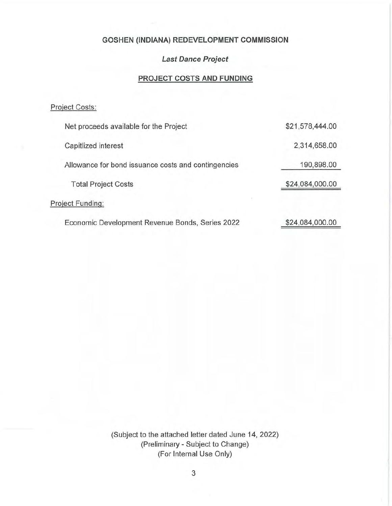## **Last Dance Project**

# **PROJECT COSTS AND FUNDING**

# Project Costs:

| Net proceeds available for the Project              | \$21,578,444.00 |
|-----------------------------------------------------|-----------------|
| Capitlized interest                                 | 2,314,658.00    |
| Allowance for bond issuance costs and contingencies | 190,898.00      |
| <b>Total Project Costs</b>                          | \$24,084,000.00 |
| Project Funding:                                    |                 |
| Economic Development Revenue Bonds, Series 2022     | \$24,084,000.00 |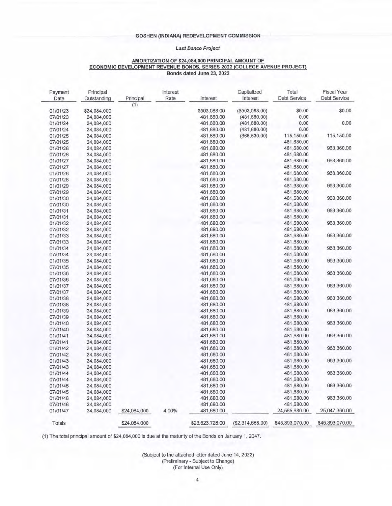#### **Last Dance Project**

#### **AMORTIZATION OF \$24,084,000 PRINCIPAL AMOUNT OF ECONOMIC DEVELOPMENT REVENUE BONDS, SERIES 2022 {COLLEGE AVENUE PROJECT) Bonds dated June 23, 2022**

| Payment<br>Date | Principal<br>Outstanding | Principal    | Interest<br>Rate | Interest        | Capitalized<br>Interest | Total<br>Debt Service | <b>Fiscal Year</b><br><b>Debt Service</b> |
|-----------------|--------------------------|--------------|------------------|-----------------|-------------------------|-----------------------|-------------------------------------------|
|                 |                          | (1)          |                  |                 |                         |                       |                                           |
| 01/01/23        | \$24,084,000             |              |                  | \$503,088.00    | $($ \$503,088.00)       | \$0.00                | \$0.00                                    |
| 07/01/23        | 24,084,000               |              |                  | 481,680.00      | (481, 680.00)           | 0.00                  |                                           |
| 01/01/24        | 24,084,000               |              |                  | 481,680.00      | (481, 680.00)           | 0.00                  | 0.00                                      |
| 07/01/24        | 24,084,000               |              |                  | 481,680.00      | (481, 680.00)           | 0.00                  |                                           |
| 01/01/25        | 24,084,000               |              |                  | 481,680.00      | (366, 530.00)           | 115,150.00            | 115,150.00                                |
| 07/01/25        | 24,084,000               |              |                  | 481,680.00      |                         | 481,680.00            |                                           |
| 01/01/26        | 24,084,000               |              |                  | 481,680.00      |                         | 481,680.00            | 963,360.00                                |
| 07/01/26        | 24,084,000               |              |                  | 481,680.00      |                         | 481,680.00            |                                           |
| 01/01/27        | 24,084,000               |              |                  | 481,680.00      |                         | 481,680.00            | 963,360.00                                |
| 07/01/27        | 24,084,000               |              |                  | 481,680.00      |                         | 481,680.00            |                                           |
| 01/01/28        | 24,084,000               |              |                  | 481,680.00      |                         | 481,680.00            | 963,360.00                                |
| 07/01/28        | 24,084,000               |              |                  | 481,680.00      |                         | 481,680.00            |                                           |
| 01/01/29        | 24,084,000               |              |                  | 481,680.00      |                         | 481,680.00            | 963,360.00                                |
| 07/01/29        | 24,084,000               |              |                  | 481,680.00      |                         | 481,680.00            |                                           |
| 01/01/30        | 24,084,000               |              |                  | 481,680.00      |                         | 481,680.00            | 963,360.00                                |
| 07/01/30        | 24,084,000               |              |                  | 481,680.00      |                         | 481,680.00            |                                           |
| 01/01/31        | 24,084,000               |              |                  | 481,680.00      |                         | 481,680.00            | 963,360.00                                |
| 07/01/31        | 24,084,000               |              |                  | 481,680.00      |                         | 481,680.00            |                                           |
| 01/01/32        | 24,084,000               |              |                  | 481,680.00      |                         | 481,680.00            | 963,360.00                                |
| 07/01/32        | 24,084,000               |              |                  | 481,680.00      |                         | 481,680.00            |                                           |
| 01/01/33        | 24,084,000               |              |                  | 481,680.00      |                         | 481,680.00            | 963,360.00                                |
| 07/01/33        | 24,084,000               |              |                  | 481,680.00      |                         | 481,680.00            |                                           |
| 01/01/34        | 24,084,000               |              |                  | 481,680.00      |                         | 481,680.00            | 963,360.00                                |
| 07/01/34        | 24,084,000               |              |                  | 481,680.00      |                         | 481,680.00            |                                           |
| 01/01/35        | 24,084,000               |              |                  | 481,680.00      |                         | 481,680.00            | 963,360.00                                |
| 07/01/35        | 24,084,000               |              |                  | 481,680.00      |                         | 481,680.00            |                                           |
| 01/01/36        | 24,084,000               |              |                  | 481,680.00      |                         | 481,680.00            | 963,360.00                                |
| 07/01/36        | 24,084,000               |              |                  | 481,680.00      |                         | 481,680.00            |                                           |
| 01/01/37        | 24,084,000               |              |                  | 481,680.00      |                         | 481,680.00            | 963,360.00                                |
| 07/01/37        | 24,084,000               |              |                  | 481,680.00      |                         | 481,680.00            |                                           |
| 01/01/38        | 24,084,000               |              |                  | 481,680.00      |                         | 481,680.00            | 963,360.00                                |
| 07/01/38        | 24,084,000               |              |                  | 481,680.00      |                         | 481,680.00            |                                           |
| 01/01/39        | 24,084,000               |              |                  | 481,680.00      |                         | 481,680.00            | 963,360.00                                |
| 07/01/39        | 24,084,000               |              |                  | 481,680.00      |                         | 481,680.00            |                                           |
| 01/01/40        | 24,084,000               |              |                  | 481,680.00      |                         | 481,680.00            | 963,360.00                                |
| 07/01/40        | 24,084,000               |              |                  | 481,680.00      |                         | 481,680.00            |                                           |
| 01/01/41        | 24,084,000               |              |                  | 481,680.00      |                         | 481,680.00            | 963,360.00                                |
| 07/01/41        | 24,084,000               |              |                  | 481,680.00      |                         | 481,680.00            |                                           |
| 01/01/42        | 24,084,000               |              |                  | 481,680.00      |                         | 481,680.00            | 963,360.00                                |
| 07/01/42        | 24,084,000               |              |                  | 481,680.00      |                         | 481,680.00            |                                           |
| 01/01/43        | 24,084,000               |              |                  | 481,680.00      |                         | 481,680.00            | 963,360.00                                |
| 07/01/43        | 24,084,000               |              |                  | 481,680.00      |                         | 481,680.00            |                                           |
| 01/01/44        | 24,084,000               |              |                  | 481,680.00      |                         | 481,680.00            | 963,360.00                                |
| 07/01/44        | 24,084,000               |              |                  | 481,680.00      |                         | 481,680.00            |                                           |
| 01/01/45        | 24,084,000               |              |                  | 481,680.00      |                         | 481,680.00            | 963,360.00                                |
| 07/01/45        | 24,084,000               |              |                  | 481,680.00      |                         | 481,680.00            |                                           |
| 01/01/46        | 24,084,000               |              |                  | 481,680.00      |                         | 481,680.00            | 963,360.00                                |
| 07/01/46        | 24,084,000               |              |                  | 481,680.00      |                         | 481,680.00            |                                           |
| 01/01/47        | 24,084,000               | \$24,084,000 | 4.00%            | 481,680.00      |                         | 24,565,680.00         | 25,047,360.00                             |
| Totals          |                          | \$24,084,000 |                  | \$23,623,728.00 | (\$2,314,658.00)        | \$45,393,070.00       | \$45,393,070.00                           |

(1) The total principal amount of \$24,084,000 is due at the maturity of the Bonds on January 1, 2047.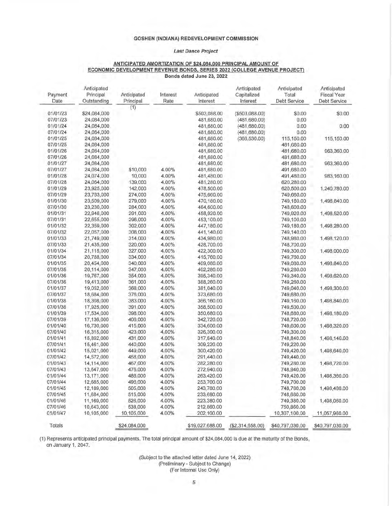#### **Last Dance Project**

#### **ANTICIPATED AMORTIZATION OF 124,084,000 PRINCIPAL AMOUNT OF ECONOMIC DEVELOPMENT REVENUE BONDS, SERIES 2022 {COLLEGE AVENUE PROJECT) Bonds dated June 23, 2022**

| Payment<br>Date      | Anticipated<br>Principal<br>Outstanding | Anticipated<br>Principal | Interest<br>Rate | Anticipated<br>Interest | Anticipated<br>Capitalized<br>Interest | Anticipated<br>Total<br>Debt Service | Anticipated<br><b>Fiscal Year</b><br>Debt Service |
|----------------------|-----------------------------------------|--------------------------|------------------|-------------------------|----------------------------------------|--------------------------------------|---------------------------------------------------|
|                      |                                         | (1)                      |                  |                         |                                        |                                      |                                                   |
| 01/01/23             | \$24,084,000                            |                          |                  | \$503,088.00            | ( \$503,088.00)                        | \$0.00                               | \$0.00                                            |
| 07/01/23             | 24,084,000                              |                          |                  | 481,680.00              | (481, 680.00)                          | 0.00                                 |                                                   |
| 01/01/24             | 24,084,000                              |                          |                  | 481,680.00              | (481, 680, 00)                         | 0.00                                 | 0.00                                              |
| 07/01/24             | 24,084,000                              |                          |                  | 481,680.00              | (481, 680.00)                          | 0.00                                 |                                                   |
| 01/01/25             | 24,084,000                              |                          |                  | 481,680.00              | (366, 530.00)                          | 115,150.00                           | 115,150.00                                        |
| 07/01/25             | 24,084,000                              |                          |                  | 481,680.00              |                                        | 481,680.00                           |                                                   |
| 01/01/26             | 24,084,000                              |                          |                  | 481,680.00              |                                        | 481,680.00                           | 963,360.00                                        |
| 07/01/26             | 24,084,000                              |                          |                  | 481,680.00              |                                        | 481,680.00                           |                                                   |
| 01/01/27             | 24,084,000                              |                          |                  | 481,680.00              |                                        | 481,680.00                           | 963,360.00                                        |
| 07/01/27             | 24,084,000                              | \$10,000                 | 4.00%            | 481,680.00              |                                        | 491,680.00                           |                                                   |
| 01/01/28             | 24,074,000                              | 10,000                   | 4.00%            | 481,480.00              |                                        | 491,480.00                           | 983,160.00                                        |
| 07/01/28             | 24,064,000                              | 139,000                  | 4.00%            | 481,280.00              |                                        | 620,280.00                           |                                                   |
| 01/01/29             | 23,925,000                              | 142,000                  | 4.00%            | 478,500.00              |                                        | 620,500.00                           | 1,240,780.00                                      |
| 07/01/29             | 23,783,000                              | 274,000                  | 4.00%            | 475,660.00              |                                        | 749,660.00                           |                                                   |
| 01/01/30             | 23,509,000                              | 279,000                  | 4.00%            | 470,180.00              |                                        | 749,180.00                           | 1,498,840.00                                      |
| 07/01/30             | 23,230,000                              | 284,000                  | 4.00%            | 464,600.00              |                                        | 748,600.00                           |                                                   |
| 01/01/31             | 22,946,000                              | 291,000                  | 4.00%            | 458,920.00              |                                        | 749,920.00                           | 1,498,520.00                                      |
| 07/01/31             | 22,655,000                              | 296,000                  | 4.00%            | 453,100.00              |                                        | 749,100.00                           |                                                   |
| 01/01/32             | 22,359,000                              | 302,000                  | 4.00%            | 447,180.00              |                                        | 749,180.00                           | 1,498,280.00                                      |
| 07/01/32             | 22,057,000                              | 308,000                  | 4.00%            | 441,140.00              |                                        | 749,140.00                           |                                                   |
| 01/01/33             | 21,749,000                              |                          | 4.00%            | 434,980.00              |                                        | 748,980.00                           |                                                   |
|                      |                                         | 314,000                  | 4.00%            |                         |                                        |                                      | 1,498,120.00                                      |
| 07/01/33<br>01/01/34 | 21,435,000                              | 320,000                  |                  | 428,700.00              |                                        | 748,700.00                           | 1,498,000.00                                      |
|                      | 21,115,000                              | 327,000                  | 4.00%            | 422,300.00              |                                        | 749,300.00                           |                                                   |
| 07/01/34<br>01/01/35 | 20,788,000                              | 334,000                  | 4.00%            | 415,760.00              |                                        | 749,760.00                           | 1,498,840.00                                      |
|                      | 20,454,000                              | 340,000                  | 4.00%            | 409,080.00              |                                        | 749,080.00                           |                                                   |
| 07/01/35             | 20,114,000                              | 347,000                  | 4.00%            | 402,280.00              |                                        | 749,280.00                           |                                                   |
| 01/01/36             | 19,767,000                              | 354,000                  | 4.00%            | 395,340.00              |                                        | 749,340.00                           | 1,498,620.00                                      |
| 07/01/36             | 19,413,000                              | 361,000                  | 4.00%            | 388,260.00              |                                        | 749,260.00                           |                                                   |
| 01/01/37             | 19,052,000                              | 368,000                  | 4.00%            | 381,040.00              |                                        | 749,040.00                           | 1,498,300.00                                      |
| 07/01/37             | 18,684,000                              | 376,000                  | 4.00%            | 373,680.00              |                                        | 749,680.00                           |                                                   |
| 01/01/38             | 18,308,000                              | 383,000                  | 4.00%            | 366,160.00              |                                        | 749,160.00                           | 1,498,840.00                                      |
| 07/01/38             | 17,925,000                              | 391,000                  | 4.00%            | 358,500.00              |                                        | 749,500.00                           |                                                   |
| 01/01/39             | 17,534,000                              | 398,000                  | 4.00%            | 350,680.00              |                                        | 748,680.00                           | 1,498,180.00                                      |
| 07/01/39             | 17,136,000                              | 406,000                  | 4.00%            | 342,720.00              |                                        | 748,720.00                           |                                                   |
| 01/01/40             | 16,730,000                              | 415,000                  | 4.00%            | 334,600.00              |                                        | 749,600.00                           | 1,498,320.00                                      |
| 07/01/40             | 16,315,000                              | 423,000                  | 4.00%            | 326,300.00              |                                        | 749,300.00                           |                                                   |
| 01/01/41             | 15,892,000                              | 431,000                  | 4.00%            | 317,840.00              |                                        | 748,840.00                           | 1,498,140.00                                      |
| 07/01/41             | 15,461,000                              | 440,000                  | 4.00%            | 309,220.00              |                                        | 749,220.00                           |                                                   |
| 01/01/42             | 15,021,000                              | 449,000                  | 4.00%            | 300,420.00              |                                        | 749,420.00                           | 1,498,640.00                                      |
| 07/01/42             | 14,572,000                              | 458,000                  | 4.00%            | 291,440.00              |                                        | 749,440.00                           |                                                   |
| 01/01/43             | 14,114,000                              | 467,000                  | 4.00%            | 282,280.00              |                                        | 749,280.00                           | 1,498,720.00                                      |
| 07/01/43             | 13,647,000                              | 476,000                  | 4.00%            | 272,940.00              |                                        | 748,940.00                           |                                                   |
| 01/01/44             | 13,171,000                              | 486,000                  | 4.00%            | 263,420.00              |                                        | 749,420.00                           | 1,498,360.00                                      |
| 07/01/44             | 12,685,000                              | 496,000                  | 4.00%            | 253,700.00              |                                        | 749,700.00                           |                                                   |
| 01/01/45             | 12,189,000                              | 505,000                  | 4.00%            | 243,780.00              |                                        | 748,780.00                           | 1,498,480.00                                      |
| 07/01/45             | 11,684,000                              | 515,000                  | 4.00%            | 233,680.00              |                                        | 748,680.00                           |                                                   |
| 01/01/46             | 11,169,000                              | 526,000                  | 4.00%            | 223,380.00              |                                        | 749,380.00                           | 1,498,060.00                                      |
| 07/01/46             | 10,643,000                              | 538,000                  | 4.00%            | 212,860.00              |                                        | 750,860.00                           |                                                   |
| 01/01/47             | 10,105,000                              | 10,105,000               | 4.00%            | 202,100.00              |                                        | 10,307,100.00                        | 11,057,960.00                                     |
| Totals               |                                         | \$24,084,000             |                  | \$19,027,688.00         | ( \$2, 314, 658.00)                    | \$40,797,030.00                      | \$40,797,030.00                                   |

(1) Represents anticipated principal payments. The total principal amount of \$24,084,000 is due at the maturity of the Bonds, on January 1, 2047.